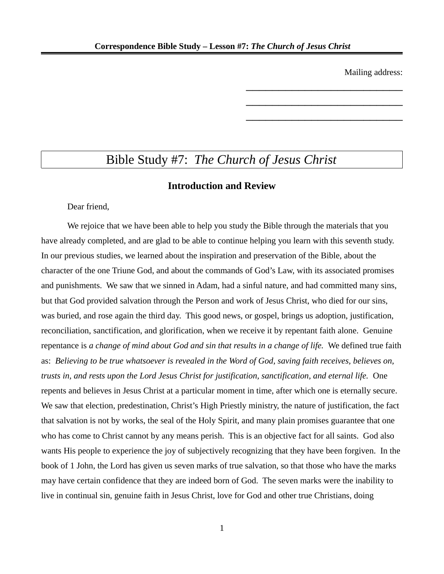Mailing address:

\_\_\_\_\_\_\_\_\_\_\_\_\_\_\_\_\_\_\_\_\_\_\_\_

\_\_\_\_\_\_\_\_\_\_\_\_\_\_\_\_\_\_\_\_\_\_\_\_

\_\_\_\_\_\_\_\_\_\_\_\_\_\_\_\_\_\_\_\_\_\_\_\_

# Bible Study #7: *The Church of Jesus Christ*

# **Introduction and Review**

Dear friend,

We rejoice that we have been able to help you study the Bible through the materials that you have already completed, and are glad to be able to continue helping you learn with this seventh study. In our previous studies, we learned about the inspiration and preservation of the Bible, about the character of the one Triune God, and about the commands of God's Law, with its associated promises and punishments. We saw that we sinned in Adam, had a sinful nature, and had committed many sins, but that God provided salvation through the Person and work of Jesus Christ, who died for our sins, was buried, and rose again the third day. This good news, or gospel, brings us adoption, justification, reconciliation, sanctification, and glorification, when we receive it by repentant faith alone. Genuine repentance is *a change of mind about God and sin that results in a change of life.* We defined true faith as: *Believing to be true whatsoever is revealed in the Word of God, saving faith receives, believes on, trusts in, and rests upon the Lord Jesus Christ for justification, sanctification, and eternal life.* One repents and believes in Jesus Christ at a particular moment in time, after which one is eternally secure. We saw that election, predestination, Christ's High Priestly ministry, the nature of justification, the fact that salvation is not by works, the seal of the Holy Spirit, and many plain promises guarantee that one who has come to Christ cannot by any means perish. This is an objective fact for all saints. God also wants His people to experience the joy of subjectively recognizing that they have been forgiven. In the book of 1 John, the Lord has given us seven marks of true salvation, so that those who have the marks may have certain confidence that they are indeed born of God. The seven marks were the inability to live in continual sin, genuine faith in Jesus Christ, love for God and other true Christians, doing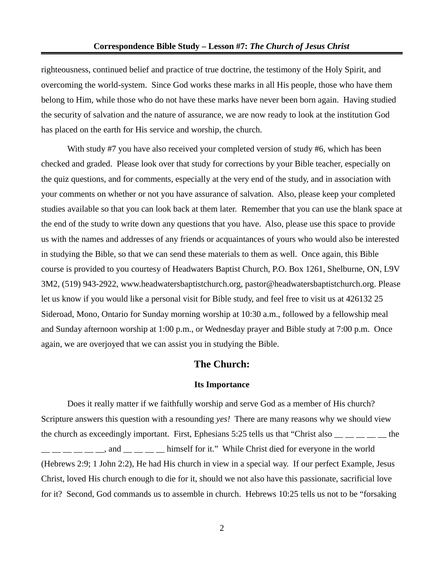righteousness, continued belief and practice of true doctrine, the testimony of the Holy Spirit, and overcoming the world-system. Since God works these marks in all His people, those who have them belong to Him, while those who do not have these marks have never been born again. Having studied the security of salvation and the nature of assurance, we are now ready to look at the institution God has placed on the earth for His service and worship, the church.

With study #7 you have also received your completed version of study #6, which has been checked and graded. Please look over that study for corrections by your Bible teacher, especially on the quiz questions, and for comments, especially at the very end of the study, and in association with your comments on whether or not you have assurance of salvation. Also, please keep your completed studies available so that you can look back at them later. Remember that you can use the blank space at the end of the study to write down any questions that you have. Also, please use this space to provide us with the names and addresses of any friends or acquaintances of yours who would also be interested in studying the Bible, so that we can send these materials to them as well. Once again, this Bible course is provided to you courtesy of Headwaters Baptist Church, P.O. Box 1261, Shelburne, ON, L9V 3M2, (519) 943-2922, www.headwatersbaptistchurch.org, pastor@headwatersbaptistchurch.org. Please let us know if you would like a personal visit for Bible study, and feel free to visit us at 426132 25 Sideroad, Mono, Ontario for Sunday morning worship at 10:30 a.m., followed by a fellowship meal and Sunday afternoon worship at 1:00 p.m., or Wednesday prayer and Bible study at 7:00 p.m. Once again, we are overjoyed that we can assist you in studying the Bible.

## **The Church:**

#### **Its Importance**

Does it really matter if we faithfully worship and serve God as a member of His church? Scripture answers this question with a resounding *yes!* There are many reasons why we should view the church as exceedingly important. First, Ephesians 5:25 tells us that "Christ also  $\frac{1}{\sqrt{2}}$  =  $\frac{1}{\sqrt{2}}$  the \_\_ \_\_, and \_\_ \_\_ \_\_ himself for it." While Christ died for everyone in the world (Hebrews 2:9; 1 John 2:2), He had His church in view in a special way. If our perfect Example, Jesus Christ, loved His church enough to die for it, should we not also have this passionate, sacrificial love for it? Second, God commands us to assemble in church. Hebrews 10:25 tells us not to be "forsaking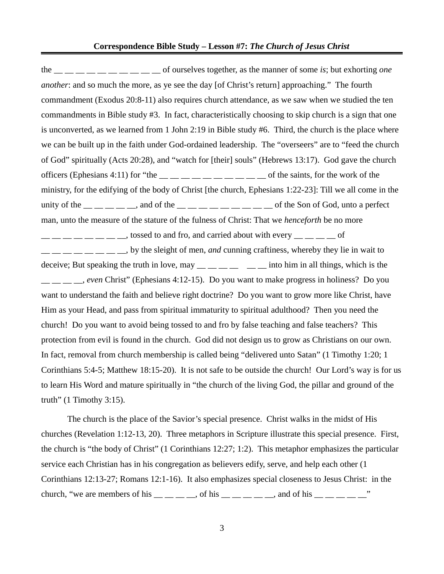#### **Correspondence Bible Study – Lesson #7:** *The Church of Jesus Christ*

the \_\_ \_\_ \_\_ \_\_ \_\_ \_\_ \_\_ \_\_ \_\_ \_\_ of ourselves together, as the manner of some *is*; but exhorting *one another*: and so much the more, as ye see the day [of Christ's return] approaching." The fourth commandment (Exodus 20:8-11) also requires church attendance, as we saw when we studied the ten commandments in Bible study #3. In fact, characteristically choosing to skip church is a sign that one is unconverted, as we learned from 1 John 2:19 in Bible study #6. Third, the church is the place where we can be built up in the faith under God-ordained leadership. The "overseers" are to "feed the church of God" spiritually (Acts 20:28), and "watch for [their] souls" (Hebrews 13:17). God gave the church officers (Ephesians 4:11) for "the  $\_\_\_\_\_\_\_\_\_\_\_\_\_\_\_$  of the saints, for the work of the ministry, for the edifying of the body of Christ [the church, Ephesians 1:22-23]: Till we all come in the unity of the  $\_\_$   $\_\_$  and of the  $\_\_$   $\_\_$   $\_\_$   $\_\_$   $\_\_$  of the Son of God, unto a perfect man, unto the measure of the stature of the fulness of Christ: That we *henceforth* be no more  $\frac{1}{1}$   $\frac{1}{1}$   $\frac{1}{1}$   $\frac{1}{1}$   $\frac{1}{1}$   $\frac{1}{1}$   $\frac{1}{1}$   $\frac{1}{1}$  tossed to and fro, and carried about with every  $\frac{1}{1}$   $\frac{1}{1}$   $\frac{1}{1}$   $\frac{1}{1}$   $\frac{1}{1}$  $\frac{1}{1}$   $\frac{1}{1}$   $\frac{1}{1}$   $\frac{1}{1}$   $\frac{1}{1}$   $\frac{1}{1}$  by the sleight of men, *and* cunning craftiness, whereby they lie in wait to deceive; But speaking the truth in love,  $\text{may} \_\_\_\_\_\_\_\_\_\$  into him in all things, which is the \_\_ \_\_ \_\_ \_\_, *even* Christ" (Ephesians 4:12-15). Do you want to make progress in holiness? Do you want to understand the faith and believe right doctrine? Do you want to grow more like Christ, have Him as your Head, and pass from spiritual immaturity to spiritual adulthood? Then you need the church! Do you want to avoid being tossed to and fro by false teaching and false teachers? This protection from evil is found in the church. God did not design us to grow as Christians on our own. In fact, removal from church membership is called being "delivered unto Satan" (1 Timothy 1:20; 1 Corinthians 5:4-5; Matthew 18:15-20). It is not safe to be outside the church! Our Lord's way is for us to learn His Word and mature spiritually in "the church of the living God, the pillar and ground of the truth" (1 Timothy 3:15).

The church is the place of the Savior's special presence. Christ walks in the midst of His churches (Revelation 1:12-13, 20). Three metaphors in Scripture illustrate this special presence. First, the church is "the body of Christ" (1 Corinthians 12:27; 1:2). This metaphor emphasizes the particular service each Christian has in his congregation as believers edify, serve, and help each other (1 Corinthians 12:13-27; Romans 12:1-16). It also emphasizes special closeness to Jesus Christ: in the church, "we are members of his  $\_\_$   $\_\_$  of his  $\_\_$   $\_\_$   $\_\_$  and of his  $\_\_$   $\_\_$ 

3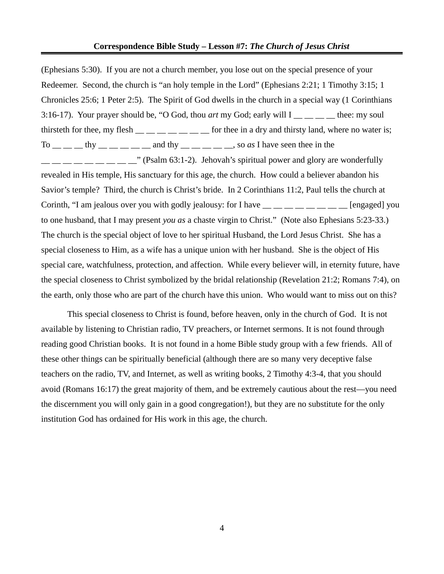#### **Correspondence Bible Study – Lesson #7:** *The Church of Jesus Christ*

(Ephesians 5:30). If you are not a church member, you lose out on the special presence of your Redeemer. Second, the church is "an holy temple in the Lord" (Ephesians 2:21; 1 Timothy 3:15; 1 Chronicles 25:6; 1 Peter 2:5). The Spirit of God dwells in the church in a special way (1 Corinthians 3:16-17). Your prayer should be, "O God, thou *art* my God; early will I \_\_ \_\_ \_\_ \_\_ thee: my soul thirsteth for thee, my flesh  $\frac{m}{m}$   $\frac{m}{m}$   $\frac{m}{m}$  for thee in a dry and thirsty land, where no water is; To  $\_\_\_\_\_\_\_\_\_\_\_\_\_\_\_\_\_$  thy  $\_\_\_\_\_\_\_\_\_\_$  and thy  $\_\_\_\_\_\_\_\_\_$  so *as* I have seen thee in the  $\degree$  (Psalm 63:1-2). Jehovah's spiritual power and glory are wonderfully revealed in His temple, His sanctuary for this age, the church. How could a believer abandon his Savior's temple? Third, the church is Christ's bride. In 2 Corinthians 11:2, Paul tells the church at Corinth, "I am jealous over you with godly jealousy: for I have  $\frac{m}{m}$   $\frac{m}{m}$   $\frac{m}{m}$  [engaged] you to one husband, that I may present *you as* a chaste virgin to Christ." (Note also Ephesians 5:23-33.) The church is the special object of love to her spiritual Husband, the Lord Jesus Christ. She has a special closeness to Him, as a wife has a unique union with her husband. She is the object of His special care, watchfulness, protection, and affection. While every believer will, in eternity future, have the special closeness to Christ symbolized by the bridal relationship (Revelation 21:2; Romans 7:4), on the earth, only those who are part of the church have this union. Who would want to miss out on this?

This special closeness to Christ is found, before heaven, only in the church of God. It is not available by listening to Christian radio, TV preachers, or Internet sermons. It is not found through reading good Christian books. It is not found in a home Bible study group with a few friends. All of these other things can be spiritually beneficial (although there are so many very deceptive false teachers on the radio, TV, and Internet, as well as writing books, 2 Timothy 4:3-4, that you should avoid (Romans 16:17) the great majority of them, and be extremely cautious about the rest—you need the discernment you will only gain in a good congregation!), but they are no substitute for the only institution God has ordained for His work in this age, the church.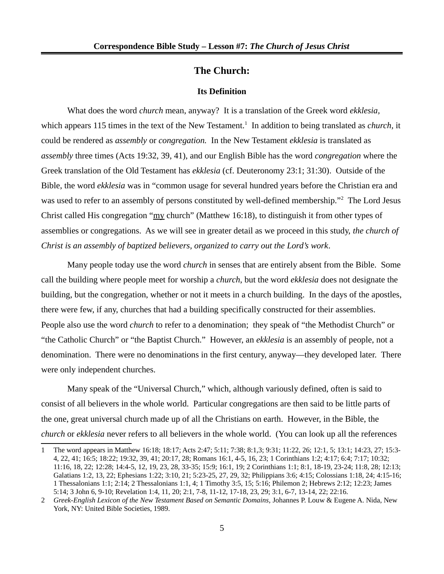# **The Church:**

#### **Its Definition**

What does the word *church* mean, anyway? It is a translation of the Greek word *ekklesia,* which appears [1](#page-4-0)15 times in the text of the New Testament.<sup>1</sup> In addition to being translated as *church*, it could be rendered as *assembly* or *congregation.* In the New Testament *ekklesia* is translated as *assembly* three times (Acts 19:32, 39, 41), and our English Bible has the word *congregation* where the Greek translation of the Old Testament has *ekklesia* (cf. Deuteronomy 23:1; 31:30). Outside of the Bible, the word *ekklesia* was in "common usage for several hundred years before the Christian era and was used to refer to an assembly of persons constituted by well-defined membership."<sup>[2](#page-4-1)</sup> The Lord Jesus Christ called His congregation "my church" (Matthew 16:18), to distinguish it from other types of assemblies or congregations. As we will see in greater detail as we proceed in this study, *the church of Christ is an assembly of baptized believers, organized to carry out the Lord's work*.

Many people today use the word *church* in senses that are entirely absent from the Bible. Some call the building where people meet for worship a *church*, but the word *ekklesia* does not designate the building, but the congregation, whether or not it meets in a church building. In the days of the apostles, there were few, if any, churches that had a building specifically constructed for their assemblies. People also use the word *church* to refer to a denomination; they speak of "the Methodist Church" or "the Catholic Church" or "the Baptist Church." However, an *ekklesia* is an assembly of people, not a denomination. There were no denominations in the first century, anyway—they developed later. There were only independent churches.

Many speak of the "Universal Church," which, although variously defined, often is said to consist of all believers in the whole world. Particular congregations are then said to be little parts of the one, great universal church made up of all the Christians on earth. However, in the Bible, the *church* or *ekklesia* never refers to all believers in the whole world. (You can look up all the references

<span id="page-4-0"></span><sup>1</sup> The word appears in Matthew 16:18; 18:17; Acts 2:47; 5:11; 7:38; 8:1,3; 9:31; 11:22, 26; 12:1, 5; 13:1; 14:23, 27; 15:3- 4, 22, 41; 16:5; 18:22; 19:32, 39, 41; 20:17, 28; Romans 16:1, 4-5, 16, 23; 1 Corinthians 1:2; 4:17; 6:4; 7:17; 10:32; 11:16, 18, 22; 12:28; 14:4-5, 12, 19, 23, 28, 33-35; 15:9; 16:1, 19; 2 Corinthians 1:1; 8:1, 18-19, 23-24; 11:8, 28; 12:13; Galatians 1:2, 13, 22; Ephesians 1:22; 3:10, 21; 5:23-25, 27, 29, 32; Philippians 3:6; 4:15; Colossians 1:18, 24; 4:15-16; 1 Thessalonians 1:1; 2:14; 2 Thessalonians 1:1, 4; 1 Timothy 3:5, 15; 5:16; Philemon 2; Hebrews 2:12; 12:23; James 5:14; 3 John 6, 9-10; Revelation 1:4, 11, 20; 2:1, 7-8, 11-12, 17-18, 23, 29; 3:1, 6-7, 13-14, 22; 22:16.

<span id="page-4-1"></span><sup>2</sup> *Greek-English Lexicon of the New Testament Based on Semantic Domains,* Johannes P. Louw & Eugene A. Nida, New York, NY: United Bible Societies, 1989.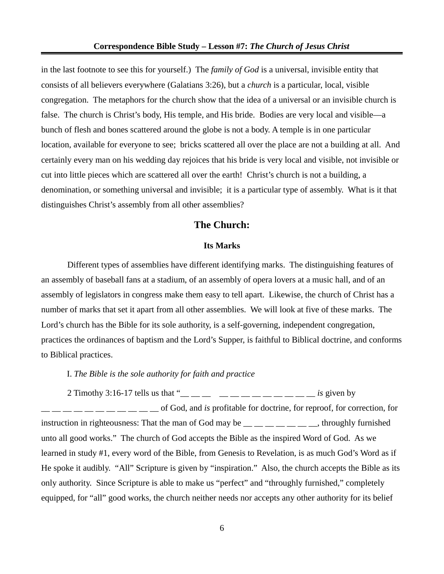in the last footnote to see this for yourself.) The *family of God* is a universal, invisible entity that consists of all believers everywhere (Galatians 3:26), but a *church* is a particular, local, visible congregation. The metaphors for the church show that the idea of a universal or an invisible church is false. The church is Christ's body, His temple, and His bride. Bodies are very local and visible—a bunch of flesh and bones scattered around the globe is not a body. A temple is in one particular location, available for everyone to see; bricks scattered all over the place are not a building at all. And certainly every man on his wedding day rejoices that his bride is very local and visible, not invisible or cut into little pieces which are scattered all over the earth! Christ's church is not a building, a denomination, or something universal and invisible; it is a particular type of assembly. What is it that distinguishes Christ's assembly from all other assemblies?

# **The Church:**

#### **Its Marks**

Different types of assemblies have different identifying marks. The distinguishing features of an assembly of baseball fans at a stadium, of an assembly of opera lovers at a music hall, and of an assembly of legislators in congress make them easy to tell apart. Likewise, the church of Christ has a number of marks that set it apart from all other assemblies. We will look at five of these marks. The Lord's church has the Bible for its sole authority, is a self-governing, independent congregation, practices the ordinances of baptism and the Lord's Supper, is faithful to Biblical doctrine, and conforms to Biblical practices.

I. *The Bible is the sole authority for faith and practice*

2 Timothy 3:16-17 tells us that " $\frac{1}{2}$   $\frac{1}{2}$   $\frac{1}{2}$   $\frac{1}{2}$   $\frac{1}{2}$   $\frac{1}{2}$   $\frac{1}{2}$   $\frac{1}{2}$   $\frac{1}{2}$   $\frac{1}{2}$   $\frac{1}{2}$   $\frac{1}{2}$   $\frac{1}{2}$   $\frac{1}{2}$   $\frac{1}{2}$   $\frac{1}{2}$   $\frac{1}{2}$   $\frac{1}{2}$   $\frac{1}{2}$ \_\_ \_\_ \_\_ \_\_ \_\_ \_\_ \_\_ \_\_ \_\_ \_\_ \_\_ of God, and *is* profitable for doctrine, for reproof, for correction, for instruction in righteousness: That the man of God may be \_\_ \_\_ \_\_ \_\_ \_\_ \_\_ \_\_, throughly furnished unto all good works." The church of God accepts the Bible as the inspired Word of God. As we learned in study #1, every word of the Bible, from Genesis to Revelation, is as much God's Word as if He spoke it audibly. "All" Scripture is given by "inspiration." Also, the church accepts the Bible as its only authority. Since Scripture is able to make us "perfect" and "throughly furnished," completely equipped, for "all" good works, the church neither needs nor accepts any other authority for its belief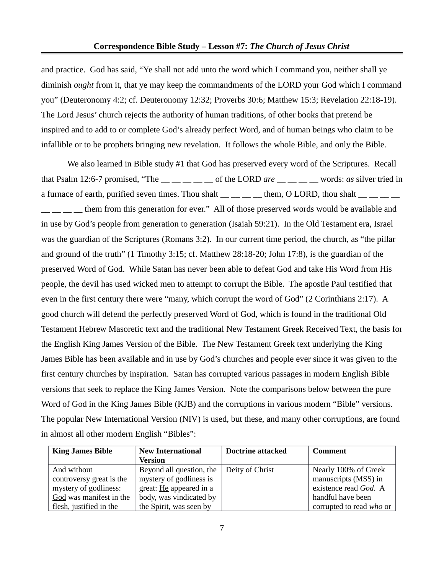and practice. God has said, "Ye shall not add unto the word which I command you, neither shall ye diminish *ought* from it, that ye may keep the commandments of the LORD your God which I command you" (Deuteronomy 4:2; cf. Deuteronomy 12:32; Proverbs 30:6; Matthew 15:3; Revelation 22:18-19). The Lord Jesus' church rejects the authority of human traditions, of other books that pretend be inspired and to add to or complete God's already perfect Word, and of human beings who claim to be infallible or to be prophets bringing new revelation. It follows the whole Bible, and only the Bible.

We also learned in Bible study #1 that God has preserved every word of the Scriptures. Recall that Psalm 12:6-7 promised, "The \_\_ \_\_ \_\_ \_\_ \_\_ of the LORD *are* \_\_ \_\_ \_\_ \_\_ words: *as* silver tried in a furnace of earth, purified seven times. Thou shalt  $\_\_$   $\_\_$  them, O LORD, thou shalt  $\_\_$ 

 $\Box$   $\Box$   $\Box$  them from this generation for ever." All of those preserved words would be available and in use by God's people from generation to generation (Isaiah 59:21). In the Old Testament era, Israel was the guardian of the Scriptures (Romans 3:2). In our current time period, the church, as "the pillar and ground of the truth" (1 Timothy 3:15; cf. Matthew 28:18-20; John 17:8), is the guardian of the preserved Word of God. While Satan has never been able to defeat God and take His Word from His people, the devil has used wicked men to attempt to corrupt the Bible. The apostle Paul testified that even in the first century there were "many, which corrupt the word of God" (2 Corinthians 2:17). A good church will defend the perfectly preserved Word of God, which is found in the traditional Old Testament Hebrew Masoretic text and the traditional New Testament Greek Received Text, the basis for the English King James Version of the Bible. The New Testament Greek text underlying the King James Bible has been available and in use by God's churches and people ever since it was given to the first century churches by inspiration. Satan has corrupted various passages in modern English Bible versions that seek to replace the King James Version. Note the comparisons below between the pure Word of God in the King James Bible (KJB) and the corruptions in various modern "Bible" versions. The popular New International Version (NIV) is used, but these, and many other corruptions, are found in almost all other modern English "Bibles":

| <b>King James Bible</b>  | <b>New International</b> | <b>Doctrine attacked</b> | Comment                  |  |
|--------------------------|--------------------------|--------------------------|--------------------------|--|
|                          | <b>Version</b>           |                          |                          |  |
| And without              | Beyond all question, the | Deity of Christ          | Nearly 100% of Greek     |  |
| controversy great is the | mystery of godliness is  |                          | manuscripts (MSS) in     |  |
| mystery of godliness:    | great: He appeared in a  |                          | existence read God. A    |  |
| God was manifest in the  | body, was vindicated by  |                          | handful have been        |  |
| flesh, justified in the  | the Spirit, was seen by  |                          | corrupted to read who or |  |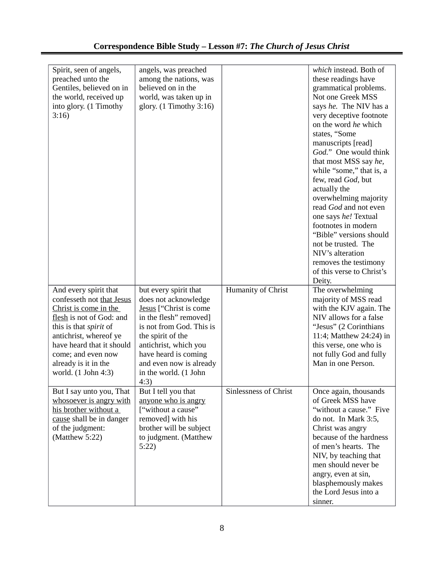| Spirit, seen of angels,<br>preached unto the<br>Gentiles, believed on in<br>the world, received up<br>into glory. (1 Timothy<br>3:16)                                                                                                                         | angels, was preached<br>among the nations, was<br>believed on in the<br>world, was taken up in<br>glory. $(1$ Timothy 3:16)                                                                                                                                     |                              | which instead. Both of<br>these readings have<br>grammatical problems.<br>Not one Greek MSS<br>says he. The NIV has a<br>very deceptive footnote<br>on the word he which<br>states, "Some<br>manuscripts [read]<br>God." One would think<br>that most MSS say he,<br>while "some," that is, a<br>few, read God, but<br>actually the<br>overwhelming majority<br>read God and not even<br>one says he! Textual<br>footnotes in modern<br>"Bible" versions should<br>not be trusted. The<br>NIV's alteration<br>removes the testimony<br>of this verse to Christ's<br>Deity. |
|---------------------------------------------------------------------------------------------------------------------------------------------------------------------------------------------------------------------------------------------------------------|-----------------------------------------------------------------------------------------------------------------------------------------------------------------------------------------------------------------------------------------------------------------|------------------------------|----------------------------------------------------------------------------------------------------------------------------------------------------------------------------------------------------------------------------------------------------------------------------------------------------------------------------------------------------------------------------------------------------------------------------------------------------------------------------------------------------------------------------------------------------------------------------|
| And every spirit that<br>confesseth not that Jesus<br>Christ is come in the<br>flesh is not of God: and<br>this is that spirit of<br>antichrist, whereof ye<br>have heard that it should<br>come; and even now<br>already is it in the<br>world. (1 John 4:3) | but every spirit that<br>does not acknowledge<br>Jesus ["Christ is come<br>in the flesh" removed]<br>is not from God. This is<br>the spirit of the<br>antichrist, which you<br>have heard is coming<br>and even now is already<br>in the world. (1 John<br>4:3) | Humanity of Christ           | The overwhelming<br>majority of MSS read<br>with the KJV again. The<br>NIV allows for a false<br>"Jesus" (2 Corinthians<br>11:4; Matthew 24:24) in<br>this verse, one who is<br>not fully God and fully<br>Man in one Person.                                                                                                                                                                                                                                                                                                                                              |
| But I say unto you, That<br>whosoever is angry with<br>his brother without a<br>cause shall be in danger<br>of the judgment:<br>(Matthew 5:22)                                                                                                                | But I tell you that<br>anyone who is angry<br>["without a cause"<br>removed] with his<br>brother will be subject<br>to judgment. (Matthew<br>5:22                                                                                                               | <b>Sinlessness of Christ</b> | Once again, thousands<br>of Greek MSS have<br>"without a cause." Five<br>do not. In Mark 3:5,<br>Christ was angry<br>because of the hardness<br>of men's hearts. The<br>NIV, by teaching that<br>men should never be<br>angry, even at sin,<br>blasphemously makes<br>the Lord Jesus into a<br>sinner.                                                                                                                                                                                                                                                                     |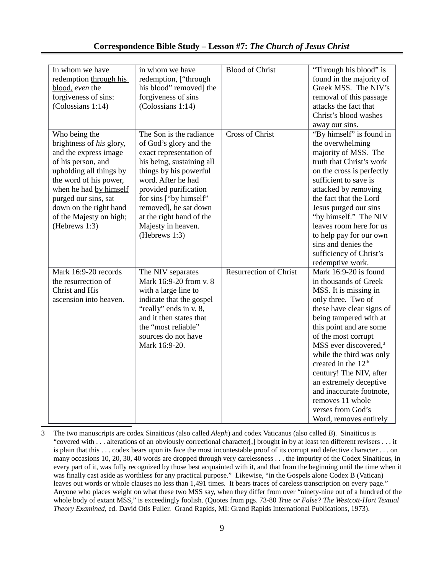### **Correspondence Bible Study – Lesson #7:** *The Church of Jesus Christ*

| In whom we have<br>redemption through his<br>blood, even the<br>forgiveness of sins:<br>(Colossians 1:14)                                                                                                                                                             | in whom we have<br>redemption, ["through<br>his blood" removed] the<br>forgiveness of sins<br>(Colossians 1:14)                                                                                                                                                                                          | <b>Blood of Christ</b>        | "Through his blood" is<br>found in the majority of<br>Greek MSS. The NIV's<br>removal of this passage<br>attacks the fact that<br>Christ's blood washes<br>away our sins.                                                                                                                                                                                                                                                                                      |
|-----------------------------------------------------------------------------------------------------------------------------------------------------------------------------------------------------------------------------------------------------------------------|----------------------------------------------------------------------------------------------------------------------------------------------------------------------------------------------------------------------------------------------------------------------------------------------------------|-------------------------------|----------------------------------------------------------------------------------------------------------------------------------------------------------------------------------------------------------------------------------------------------------------------------------------------------------------------------------------------------------------------------------------------------------------------------------------------------------------|
| Who being the<br>brightness of his glory,<br>and the express image<br>of his person, and<br>upholding all things by<br>the word of his power,<br>when he had by himself<br>purged our sins, sat<br>down on the right hand<br>of the Majesty on high;<br>(Hebrews 1:3) | The Son is the radiance<br>of God's glory and the<br>exact representation of<br>his being, sustaining all<br>things by his powerful<br>word. After he had<br>provided purification<br>for sins ["by himself"<br>removed], he sat down<br>at the right hand of the<br>Majesty in heaven.<br>(Hebrews 1:3) | <b>Cross of Christ</b>        | "By himself" is found in<br>the overwhelming<br>majority of MSS. The<br>truth that Christ's work<br>on the cross is perfectly<br>sufficient to save is<br>attacked by removing<br>the fact that the Lord<br>Jesus purged our sins<br>"by himself." The NIV<br>leaves room here for us<br>to help pay for our own<br>sins and denies the<br>sufficiency of Christ's<br>redemptive work.                                                                         |
| Mark 16:9-20 records<br>the resurrection of<br>Christ and His<br>ascension into heaven.                                                                                                                                                                               | The NIV separates<br>Mark 16:9-20 from v. 8<br>with a large line to<br>indicate that the gospel<br>"really" ends in v. 8,<br>and it then states that<br>the "most reliable"<br>sources do not have<br>Mark 16:9-20.                                                                                      | <b>Resurrection of Christ</b> | Mark 16:9-20 is found<br>in thousands of Greek<br>MSS. It is missing in<br>only three. Two of<br>these have clear signs of<br>being tampered with at<br>this point and are some<br>of the most corrupt<br>MSS ever discovered, <sup>3</sup><br>while the third was only<br>created in the 12 <sup>th</sup><br>century! The NIV, after<br>an extremely deceptive<br>and inaccurate footnote,<br>removes 11 whole<br>verses from God's<br>Word, removes entirely |

<span id="page-8-0"></span>3 The two manuscripts are codex Sinaiticus (also called *Aleph*) and codex Vaticanus (also called *B*). Sinaiticus is "covered with . . . alterations of an obviously correctional character[,] brought in by at least ten different revisers . . . it is plain that this . . . codex bears upon its face the most incontestable proof of its corrupt and defective character . . . on many occasions 10, 20, 30, 40 words are dropped through very carelessness . . . the impurity of the Codex Sinaiticus, in every part of it, was fully recognized by those best acquainted with it, and that from the beginning until the time when it was finally cast aside as worthless for any practical purpose." Likewise, "in the Gospels alone Codex B (Vatican) leaves out words or whole clauses no less than 1,491 times. It bears traces of careless transcription on every page." Anyone who places weight on what these two MSS say, when they differ from over "ninety-nine out of a hundred of the whole body of extant MSS," is exceedingly foolish. (Quotes from pgs. 73-80 *True or False? The Westcott-Hort Textual Theory Examined,* ed. David Otis Fuller. Grand Rapids, MI: Grand Rapids International Publications, 1973).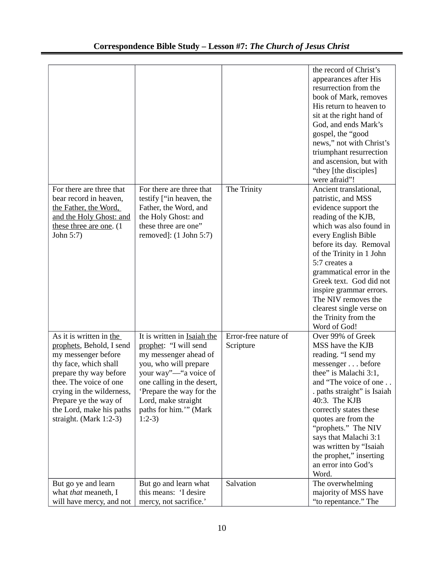| For there are three that<br>bear record in heaven,<br>the Father, the Word,<br>and the Holy Ghost: and<br>these three are one. (1<br>John 5:7)                                                                                                                      | For there are three that<br>testify ["in heaven, the<br>Father, the Word, and<br>the Holy Ghost: and<br>these three are one"<br>removed]: (1 John 5:7)                                                                                               | The Trinity                       | the record of Christ's<br>appearances after His<br>resurrection from the<br>book of Mark, removes<br>His return to heaven to<br>sit at the right hand of<br>God, and ends Mark's<br>gospel, the "good<br>news," not with Christ's<br>triumphant resurrection<br>and ascension, but with<br>"they [the disciples]<br>were afraid"!<br>Ancient translational,<br>patristic, and MSS<br>evidence support the<br>reading of the KJB,<br>which was also found in<br>every English Bible<br>before its day. Removal<br>of the Trinity in 1 John<br>5:7 creates a<br>grammatical error in the<br>Greek text. God did not<br>inspire grammar errors.<br>The NIV removes the<br>clearest single verse on<br>the Trinity from the |
|---------------------------------------------------------------------------------------------------------------------------------------------------------------------------------------------------------------------------------------------------------------------|------------------------------------------------------------------------------------------------------------------------------------------------------------------------------------------------------------------------------------------------------|-----------------------------------|-------------------------------------------------------------------------------------------------------------------------------------------------------------------------------------------------------------------------------------------------------------------------------------------------------------------------------------------------------------------------------------------------------------------------------------------------------------------------------------------------------------------------------------------------------------------------------------------------------------------------------------------------------------------------------------------------------------------------|
| As it is written in the<br>prophets, Behold, I send<br>my messenger before<br>thy face, which shall<br>prepare thy way before<br>thee. The voice of one<br>crying in the wilderness,<br>Prepare ye the way of<br>the Lord, make his paths<br>straight. (Mark 1:2-3) | It is written in Isaiah the<br>prophet: "I will send<br>my messenger ahead of<br>you, who will prepare<br>your way"—"a voice of<br>one calling in the desert,<br>Prepare the way for the<br>Lord, make straight<br>paths for him."" (Mark<br>$1:2-3$ | Error-free nature of<br>Scripture | Word of God!<br>Over 99% of Greek<br>MSS have the KJB<br>reading. "I send my<br>messenger before<br>thee" is Malachi 3:1,<br>and "The voice of one<br>. paths straight" is Isaiah<br>40:3. The KJB<br>correctly states these<br>quotes are from the<br>"prophets." The NIV<br>says that Malachi 3:1<br>was written by "Isaiah<br>the prophet," inserting<br>an error into God's<br>Word.                                                                                                                                                                                                                                                                                                                                |
| But go ye and learn<br>what that meaneth, I<br>will have mercy, and not                                                                                                                                                                                             | But go and learn what<br>this means: 'I desire<br>mercy, not sacrifice.'                                                                                                                                                                             | Salvation                         | The overwhelming<br>majority of MSS have<br>"to repentance." The                                                                                                                                                                                                                                                                                                                                                                                                                                                                                                                                                                                                                                                        |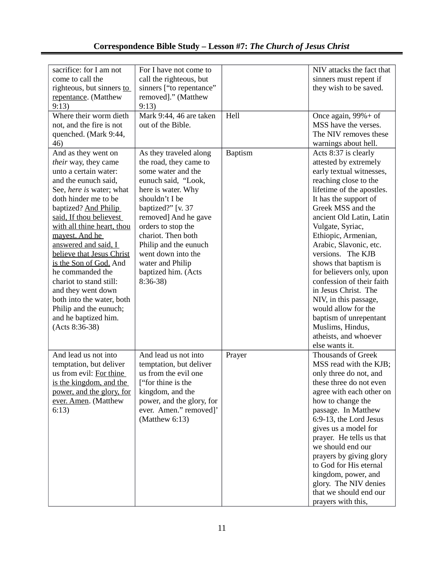# **Correspondence Bible Study – Lesson #7:** *The Church of Jesus Christ*

| sacrifice: for I am not<br>come to call the | For I have not come to    |                | NIV attacks the fact that |
|---------------------------------------------|---------------------------|----------------|---------------------------|
|                                             | call the righteous, but   |                | sinners must repent if    |
| righteous, but sinners to                   | sinners ["to repentance"  |                | they wish to be saved.    |
| repentance. (Matthew                        | removed]." (Matthew       |                |                           |
| 9:13)                                       | 9:13)                     |                |                           |
| Where their worm dieth                      | Mark 9:44, 46 are taken   | Hell           | Once again, 99%+ of       |
| not, and the fire is not                    | out of the Bible.         |                | MSS have the verses.      |
| quenched. (Mark 9:44,                       |                           |                | The NIV removes these     |
| 46)                                         |                           |                | warnings about hell.      |
| And as they went on                         | As they traveled along    | <b>Baptism</b> | Acts 8:37 is clearly      |
| their way, they came                        | the road, they came to    |                | attested by extremely     |
| unto a certain water:                       | some water and the        |                | early textual witnesses,  |
| and the eunuch said,                        | eunuch said, "Look,       |                | reaching close to the     |
| See, here is water; what                    | here is water. Why        |                | lifetime of the apostles. |
| doth hinder me to be                        | shouldn't I be            |                | It has the support of     |
| baptized? And Philip                        | baptized?" [v. 37         |                | Greek MSS and the         |
| said, If thou believest                     | removed] And he gave      |                | ancient Old Latin, Latin  |
| with all thine heart, thou                  | orders to stop the        |                | Vulgate, Syriac,          |
| mayest. And he                              | chariot. Then both        |                | Ethiopic, Armenian,       |
| answered and said, I                        | Philip and the eunuch     |                | Arabic, Slavonic, etc.    |
| believe that Jesus Christ                   | went down into the        |                | versions. The KJB         |
| is the Son of God. And                      | water and Philip          |                | shows that baptism is     |
| he commanded the                            | baptized him. (Acts       |                | for believers only, upon  |
| chariot to stand still:                     | $8:36-38$                 |                | confession of their faith |
| and they went down                          |                           |                | in Jesus Christ. The      |
| both into the water, both                   |                           |                | NIV, in this passage,     |
| Philip and the eunuch;                      |                           |                | would allow for the       |
| and he baptized him.                        |                           |                | baptism of unrepentant    |
| (Acts 8:36-38)                              |                           |                | Muslims, Hindus,          |
|                                             |                           |                | atheists, and whoever     |
|                                             |                           |                | else wants it.            |
| And lead us not into                        | And lead us not into      | Prayer         | <b>Thousands of Greek</b> |
| temptation, but deliver                     | temptation, but deliver   |                | MSS read with the KJB;    |
| us from evil: For thine                     | us from the evil one      |                | only three do not, and    |
| is the kingdom, and the                     | ["for thine is the        |                | these three do not even   |
| power, and the glory, for                   | kingdom, and the          |                | agree with each other on  |
| ever. Amen. (Matthew                        | power, and the glory, for |                | how to change the         |
| 6:13)                                       | ever. Amen." removed]'    |                | passage. In Matthew       |
|                                             | (Matthew $6:13$ )         |                | 6:9-13, the Lord Jesus    |
|                                             |                           |                | gives us a model for      |
|                                             |                           |                | prayer. He tells us that  |
|                                             |                           |                | we should end our         |
|                                             |                           |                | prayers by giving glory   |
|                                             |                           |                | to God for His eternal    |
|                                             |                           |                | kingdom, power, and       |
|                                             |                           |                | glory. The NIV denies     |
|                                             |                           |                | that we should end our    |
|                                             |                           |                | prayers with this,        |
|                                             |                           |                |                           |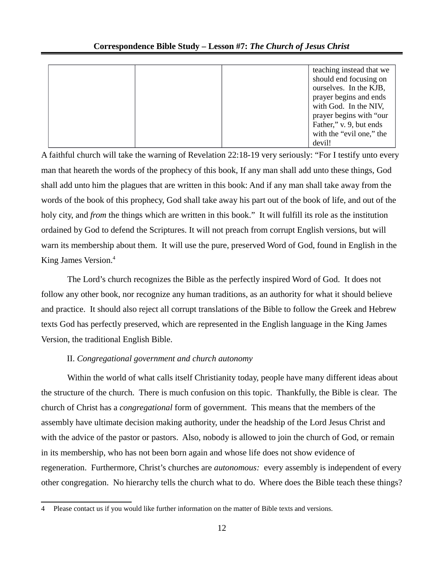|  | teaching instead that we |
|--|--------------------------|
|  | should end focusing on   |
|  | ourselves. In the KJB,   |
|  | prayer begins and ends   |
|  | with God. In the NIV,    |
|  | prayer begins with "our  |
|  | Father," v. 9, but ends  |
|  | with the "evil one," the |
|  | devil!                   |

A faithful church will take the warning of Revelation 22:18-19 very seriously: "For I testify unto every man that heareth the words of the prophecy of this book, If any man shall add unto these things, God shall add unto him the plagues that are written in this book: And if any man shall take away from the words of the book of this prophecy, God shall take away his part out of the book of life, and out of the holy city, and *from* the things which are written in this book." It will fulfill its role as the institution ordained by God to defend the Scriptures. It will not preach from corrupt English versions, but will warn its membership about them. It will use the pure, preserved Word of God, found in English in the King James Version.<sup>[4](#page-11-0)</sup>

The Lord's church recognizes the Bible as the perfectly inspired Word of God. It does not follow any other book, nor recognize any human traditions, as an authority for what it should believe and practice. It should also reject all corrupt translations of the Bible to follow the Greek and Hebrew texts God has perfectly preserved, which are represented in the English language in the King James Version, the traditional English Bible.

## II. *Congregational government and church autonomy*

Within the world of what calls itself Christianity today, people have many different ideas about the structure of the church. There is much confusion on this topic. Thankfully, the Bible is clear. The church of Christ has a *congregational* form of government. This means that the members of the assembly have ultimate decision making authority, under the headship of the Lord Jesus Christ and with the advice of the pastor or pastors. Also, nobody is allowed to join the church of God, or remain in its membership, who has not been born again and whose life does not show evidence of regeneration. Furthermore, Christ's churches are *autonomous:* every assembly is independent of every other congregation. No hierarchy tells the church what to do. Where does the Bible teach these things?

<span id="page-11-0"></span><sup>4</sup> Please contact us if you would like further information on the matter of Bible texts and versions.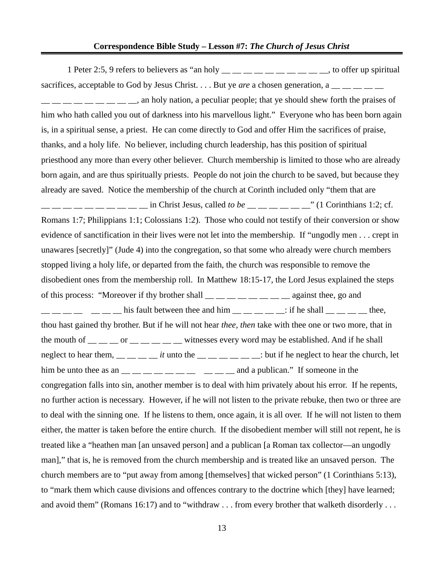1 Peter 2:5, 9 refers to believers as "an holy  $\frac{m}{m}$   $\frac{m}{m}$   $\frac{m}{m}$   $\frac{m}{m}$   $\frac{m}{m}$  to offer up spiritual sacrifices, acceptable to God by Jesus Christ. . . . But ye *are* a chosen generation, a <sub>\_\_</sub> \_\_ \_\_ \_\_ , an holy nation, a peculiar people; that ye should shew forth the praises of him who hath called you out of darkness into his marvellous light." Everyone who has been born again is, in a spiritual sense, a priest. He can come directly to God and offer Him the sacrifices of praise, thanks, and a holy life. No believer, including church leadership, has this position of spiritual priesthood any more than every other believer. Church membership is limited to those who are already born again, and are thus spiritually priests. People do not join the church to be saved, but because they already are saved. Notice the membership of the church at Corinth included only "them that are \_\_ \_\_ \_\_ \_\_ \_\_ \_\_ \_\_ \_\_ \_\_ \_\_ in Christ Jesus, called *to be* \_\_ \_\_ \_\_ \_\_ \_\_ \_\_" (1 Corinthians 1:2; cf. Romans 1:7; Philippians 1:1; Colossians 1:2). Those who could not testify of their conversion or show evidence of sanctification in their lives were not let into the membership. If "ungodly men . . . crept in unawares [secretly]" (Jude 4) into the congregation, so that some who already were church members stopped living a holy life, or departed from the faith, the church was responsible to remove the disobedient ones from the membership roll. In Matthew 18:15-17, the Lord Jesus explained the steps of this process: "Moreover if thy brother shall  $\_\_ \_\_ \_\_ \_\_ \_\_$  against thee, go and  $\frac{1}{1}$   $\frac{1}{1}$   $\frac{1}{1}$   $\frac{1}{1}$   $\frac{1}{1}$  his fault between thee and him  $\frac{1}{1}$   $\frac{1}{1}$   $\frac{1}{1}$   $\frac{1}{1}$   $\frac{1}{1}$   $\frac{1}{1}$   $\frac{1}{1}$   $\frac{1}{1}$   $\frac{1}{1}$   $\frac{1}{1}$   $\frac{1}{1}$   $\frac{1}{1}$   $\frac{1}{1}$   $\frac{1}{1}$  thou hast gained thy brother. But if he will not hear *thee, then* take with thee one or two more, that in the mouth of  $\frac{m}{m}$   $\frac{m}{m}$  or  $\frac{m}{m}$   $\frac{m}{m}$  witnesses every word may be established. And if he shall neglect to hear them,  $\_\_\_\_\_\_\_\_$  *it* unto the  $\_\_\_\_\_\_\_\_$ : but if he neglect to hear the church, let him be unto thee as an  $\frac{1}{1}$   $\frac{1}{1}$   $\frac{1}{1}$   $\frac{1}{1}$   $\frac{1}{1}$   $\frac{1}{1}$   $\frac{1}{1}$   $\frac{1}{1}$   $\frac{1}{1}$   $\frac{1}{1}$   $\frac{1}{1}$   $\frac{1}{1}$   $\frac{1}{1}$   $\frac{1}{1}$   $\frac{1}{1}$   $\frac{1}{1}$   $\frac{1}{1}$   $\frac{1}{1}$   $\frac{1}{1}$   $\frac{1}{1}$ congregation falls into sin, another member is to deal with him privately about his error. If he repents, no further action is necessary. However, if he will not listen to the private rebuke, then two or three are to deal with the sinning one. If he listens to them, once again, it is all over. If he will not listen to them either, the matter is taken before the entire church. If the disobedient member will still not repent, he is treated like a "heathen man [an unsaved person] and a publican [a Roman tax collector—an ungodly man]," that is, he is removed from the church membership and is treated like an unsaved person. The church members are to "put away from among [themselves] that wicked person" (1 Corinthians 5:13), to "mark them which cause divisions and offences contrary to the doctrine which [they] have learned; and avoid them" (Romans 16:17) and to "withdraw . . . from every brother that walketh disorderly . . .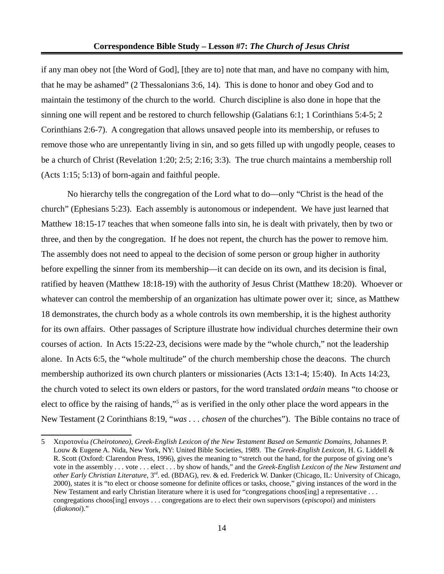if any man obey not [the Word of God], [they are to] note that man, and have no company with him, that he may be ashamed" (2 Thessalonians 3:6, 14). This is done to honor and obey God and to maintain the testimony of the church to the world. Church discipline is also done in hope that the sinning one will repent and be restored to church fellowship (Galatians 6:1; 1 Corinthians 5:4-5; 2 Corinthians 2:6-7). A congregation that allows unsaved people into its membership, or refuses to remove those who are unrepentantly living in sin, and so gets filled up with ungodly people, ceases to be a church of Christ (Revelation 1:20; 2:5; 2:16; 3:3). The true church maintains a membership roll (Acts 1:15; 5:13) of born-again and faithful people.

No hierarchy tells the congregation of the Lord what to do—only "Christ is the head of the church" (Ephesians 5:23). Each assembly is autonomous or independent. We have just learned that Matthew 18:15-17 teaches that when someone falls into sin, he is dealt with privately, then by two or three, and then by the congregation. If he does not repent, the church has the power to remove him. The assembly does not need to appeal to the decision of some person or group higher in authority before expelling the sinner from its membership—it can decide on its own, and its decision is final, ratified by heaven (Matthew 18:18-19) with the authority of Jesus Christ (Matthew 18:20). Whoever or whatever can control the membership of an organization has ultimate power over it; since, as Matthew 18 demonstrates, the church body as a whole controls its own membership, it is the highest authority for its own affairs. Other passages of Scripture illustrate how individual churches determine their own courses of action. In Acts 15:22-23, decisions were made by the "whole church," not the leadership alone. In Acts 6:5, the "whole multitude" of the church membership chose the deacons. The church membership authorized its own church planters or missionaries (Acts 13:1-4; 15:40). In Acts 14:23, the church voted to select its own elders or pastors, for the word translated *ordain* means "to choose or elect to office by the raising of hands,"<sup>[5](#page-13-0)</sup> as is verified in the only other place the word appears in the New Testament (2 Corinthians 8:19, "*was . . . chosen* of the churches"). The Bible contains no trace of

<span id="page-13-0"></span><sup>5</sup> Χειροτονέω *(Cheirotoneo), Greek-English Lexicon of the New Testament Based on Semantic Domains,* Johannes P. Louw & Eugene A. Nida, New York, NY: United Bible Societies, 1989. The *Greek-English Lexicon,* H. G. Liddell & R. Scott (Oxford: Clarendon Press, 1996), gives the meaning to "stretch out the hand, for the purpose of giving one's vote in the assembly . . . vote . . . elect . . . by show of hands," and the *Greek-English Lexicon of the New Testament and other Early Christian Literature,* 3rd. ed. (BDAG), rev. & ed. Frederick W. Danker (Chicago, IL: University of Chicago, 2000), states it is "to elect or choose someone for definite offices or tasks, choose," giving instances of the word in the New Testament and early Christian literature where it is used for "congregations choos[ing] a representative ... congregations choos[ing] envoys . . . congregations are to elect their own supervisors (*episcopoi*) and ministers (*diakonoi*)."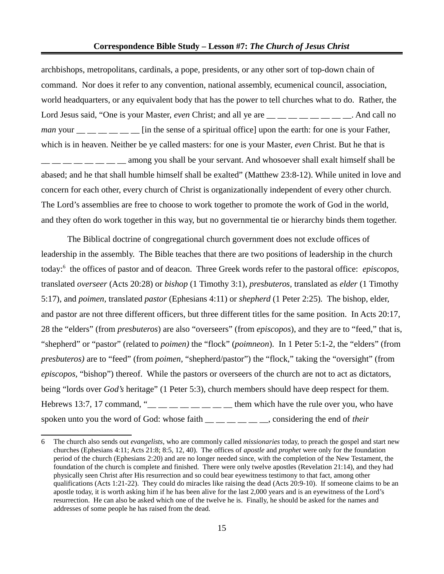archbishops, metropolitans, cardinals, a pope, presidents, or any other sort of top-down chain of command. Nor does it refer to any convention, national assembly, ecumenical council, association, world headquarters, or any equivalent body that has the power to tell churches what to do. Rather, the Lord Jesus said, "One is your Master, *even* Christ; and all ye are <u>\_</u> \_ \_ \_ \_ \_ \_ \_ \_ \_ \_ \_ And call no *man* your  $\frac{m}{m}$  \_ \_ \_ \_ \_ \_ [in the sense of a spiritual office] upon the earth: for one is your Father, which is in heaven. Neither be ye called masters: for one is your Master, *even* Christ. But he that is \_\_ \_\_ \_\_ \_\_ \_\_ \_\_ \_\_ \_\_ among you shall be your servant. And whosoever shall exalt himself shall be abased; and he that shall humble himself shall be exalted" (Matthew 23:8-12). While united in love and concern for each other, every church of Christ is organizationally independent of every other church. The Lord's assemblies are free to choose to work together to promote the work of God in the world, and they often do work together in this way, but no governmental tie or hierarchy binds them together.

The Biblical doctrine of congregational church government does not exclude offices of leadership in the assembly. The Bible teaches that there are two positions of leadership in the church today:[6](#page-14-0) the offices of pastor and of deacon. Three Greek words refer to the pastoral office: *episcopos,*  translated *overseer* (Acts 20:28) or *bishop* (1 Timothy 3:1)*, presbuteros,* translated as *elder* (1 Timothy 5:17)*,* and *poimen,* translated *pastor* (Ephesians 4:11) or *shepherd* (1 Peter 2:25)*.* The bishop, elder, and pastor are not three different officers, but three different titles for the same position. In Acts 20:17, 28 the "elders" (from *presbuteros*) are also "overseers" (from *episcopos*), and they are to "feed," that is, "shepherd" or "pastor" (related to *poimen)* the "flock" (*poimneon*). In 1 Peter 5:1-2, the "elders" (from *presbuteros)* are to "feed" (from *poimen,* "shepherd/pastor") the "flock," taking the "oversight" (from *episcopos,* "bishop") thereof. While the pastors or overseers of the church are not to act as dictators, being "lords over *God's* heritage" (1 Peter 5:3), church members should have deep respect for them. Hebrews 13:7, 17 command, " $\frac{m}{m}$   $\frac{m}{m}$   $\frac{m}{m}$   $\frac{m}{m}$   $\frac{m}{m}$  them which have the rule over you, who have spoken unto you the word of God: whose faith \_\_ \_\_ \_\_ \_\_ \_\_ \_\_, considering the end of *their*

<span id="page-14-0"></span><sup>6</sup> The church also sends out *evangelists*, who are commonly called *missionaries* today, to preach the gospel and start new churches (Ephesians 4:11; Acts 21:8; 8:5, 12, 40). The offices of *apostle* and *prophet* were only for the foundation period of the church (Ephesians 2:20) and are no longer needed since, with the completion of the New Testament, the foundation of the church is complete and finished. There were only twelve apostles (Revelation 21:14), and they had physically seen Christ after His resurrection and so could bear eyewitness testimony to that fact, among other qualifications (Acts 1:21-22). They could do miracles like raising the dead (Acts 20:9-10). If someone claims to be an apostle today, it is worth asking him if he has been alive for the last 2,000 years and is an eyewitness of the Lord's resurrection. He can also be asked which one of the twelve he is. Finally, he should be asked for the names and addresses of some people he has raised from the dead.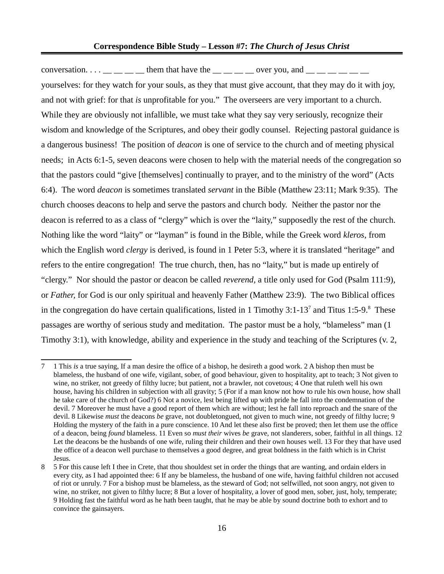conversation.  $\ldots$  \_\_ \_ \_ \_ them that have the \_\_ \_\_ \_ over you, and \_\_ \_ \_ \_ \_ \_ yourselves: for they watch for your souls, as they that must give account, that they may do it with joy, and not with grief: for that *is* unprofitable for you." The overseers are very important to a church. While they are obviously not infallible, we must take what they say very seriously, recognize their wisdom and knowledge of the Scriptures, and obey their godly counsel. Rejecting pastoral guidance is a dangerous business! The position of *deacon* is one of service to the church and of meeting physical needs; in Acts 6:1-5, seven deacons were chosen to help with the material needs of the congregation so that the pastors could "give [themselves] continually to prayer, and to the ministry of the word" (Acts 6:4). The word *deacon* is sometimes translated *servant* in the Bible (Matthew 23:11; Mark 9:35). The church chooses deacons to help and serve the pastors and church body. Neither the pastor nor the deacon is referred to as a class of "clergy" which is over the "laity," supposedly the rest of the church. Nothing like the word "laity" or "layman" is found in the Bible, while the Greek word *kleros,* from which the English word *clergy* is derived, is found in 1 Peter 5:3, where it is translated "heritage" and refers to the entire congregation! The true church, then, has no "laity," but is made up entirely of "clergy." Nor should the pastor or deacon be called *reverend,* a title only used for God (Psalm 111:9), or *Father,* for God is our only spiritual and heavenly Father (Matthew 23:9). The two Biblical offices in the congregation do have certain qualifications, listed in 1 Timothy 3:1-13<sup>[7](#page-15-0)</sup> and Titus 1:5-9.<sup>[8](#page-15-1)</sup> These passages are worthy of serious study and meditation. The pastor must be a holy, "blameless" man (1 Timothy 3:1), with knowledge, ability and experience in the study and teaching of the Scriptures (v. 2,

<span id="page-15-0"></span><sup>7</sup> 1 This *is* a true saying, If a man desire the office of a bishop, he desireth a good work. 2 A bishop then must be blameless, the husband of one wife, vigilant, sober, of good behaviour, given to hospitality, apt to teach; 3 Not given to wine, no striker, not greedy of filthy lucre; but patient, not a brawler, not covetous; 4 One that ruleth well his own house, having his children in subjection with all gravity; 5 (For if a man know not how to rule his own house, how shall he take care of the church of God?) 6 Not a novice, lest being lifted up with pride he fall into the condemnation of the devil. 7 Moreover he must have a good report of them which are without; lest he fall into reproach and the snare of the devil. 8 Likewise *must* the deacons *be* grave, not doubletongued, not given to much wine, not greedy of filthy lucre; 9 Holding the mystery of the faith in a pure conscience. 10 And let these also first be proved; then let them use the office of a deacon, being *found* blameless. 11 Even so *must their* wives *be* grave, not slanderers, sober, faithful in all things. 12 Let the deacons be the husbands of one wife, ruling their children and their own houses well. 13 For they that have used the office of a deacon well purchase to themselves a good degree, and great boldness in the faith which is in Christ Jesus.

<span id="page-15-1"></span><sup>8</sup> 5 For this cause left I thee in Crete, that thou shouldest set in order the things that are wanting, and ordain elders in every city, as I had appointed thee: 6 If any be blameless, the husband of one wife, having faithful children not accused of riot or unruly. 7 For a bishop must be blameless, as the steward of God; not selfwilled, not soon angry, not given to wine, no striker, not given to filthy lucre; 8 But a lover of hospitality, a lover of good men, sober, just, holy, temperate; 9 Holding fast the faithful word as he hath been taught, that he may be able by sound doctrine both to exhort and to convince the gainsayers.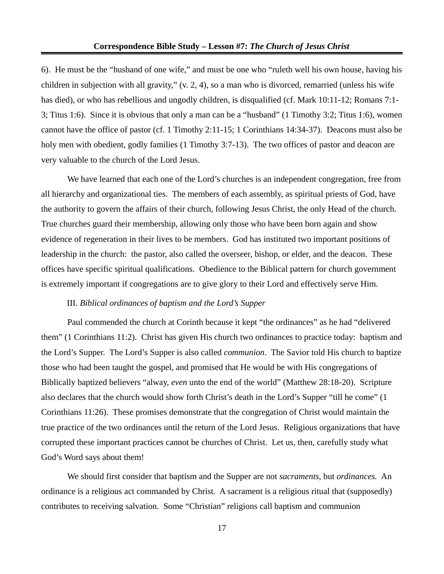6). He must be the "husband of one wife," and must be one who "ruleth well his own house, having his children in subjection with all gravity," (v. 2, 4), so a man who is divorced, remarried (unless his wife has died), or who has rebellious and ungodly children, is disqualified (cf. Mark 10:11-12; Romans 7:1- 3; Titus 1:6). Since it is obvious that only a man can be a "husband" (1 Timothy 3:2; Titus 1:6), women cannot have the office of pastor (cf. 1 Timothy 2:11-15; 1 Corinthians 14:34-37). Deacons must also be holy men with obedient, godly families (1 Timothy 3:7-13). The two offices of pastor and deacon are very valuable to the church of the Lord Jesus.

We have learned that each one of the Lord's churches is an independent congregation, free from all hierarchy and organizational ties. The members of each assembly, as spiritual priests of God, have the authority to govern the affairs of their church, following Jesus Christ, the only Head of the church. True churches guard their membership, allowing only those who have been born again and show evidence of regeneration in their lives to be members. God has instituted two important positions of leadership in the church: the pastor, also called the overseer, bishop, or elder, and the deacon. These offices have specific spiritual qualifications. Obedience to the Biblical pattern for church government is extremely important if congregations are to give glory to their Lord and effectively serve Him.

## III. *Biblical ordinances of baptism and the Lord's Supper*

Paul commended the church at Corinth because it kept "the ordinances" as he had "delivered them" (1 Corinthians 11:2). Christ has given His church two ordinances to practice today: baptism and the Lord's Supper. The Lord's Supper is also called *communion*. The Savior told His church to baptize those who had been taught the gospel, and promised that He would be with His congregations of Biblically baptized believers "alway, *even* unto the end of the world" (Matthew 28:18-20). Scripture also declares that the church would show forth Christ's death in the Lord's Supper "till he come" (1 Corinthians 11:26). These promises demonstrate that the congregation of Christ would maintain the true practice of the two ordinances until the return of the Lord Jesus. Religious organizations that have corrupted these important practices cannot be churches of Christ. Let us, then, carefully study what God's Word says about them!

We should first consider that baptism and the Supper are not *sacraments,* but *ordinances.* An ordinance is a religious act commanded by Christ. A sacrament is a religious ritual that (supposedly) contributes to receiving salvation. Some "Christian" religions call baptism and communion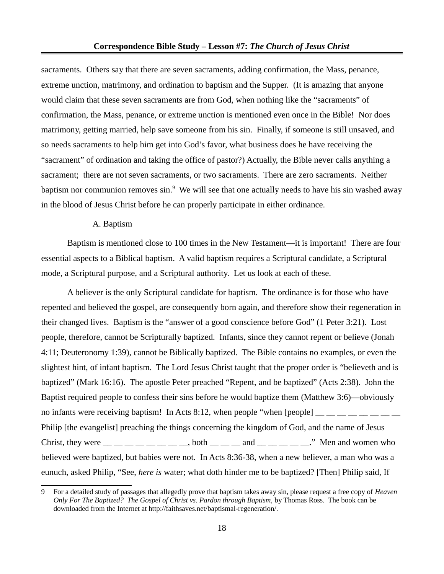sacraments. Others say that there are seven sacraments, adding confirmation, the Mass, penance, extreme unction, matrimony, and ordination to baptism and the Supper. (It is amazing that anyone would claim that these seven sacraments are from God, when nothing like the "sacraments" of confirmation, the Mass, penance, or extreme unction is mentioned even once in the Bible! Nor does matrimony, getting married, help save someone from his sin. Finally, if someone is still unsaved, and so needs sacraments to help him get into God's favor, what business does he have receiving the "sacrament" of ordination and taking the office of pastor?) Actually, the Bible never calls anything a sacrament; there are not seven sacraments, or two sacraments. There are zero sacraments. Neither baptism nor communion removes sin.<sup>[9](#page-17-0)</sup> We will see that one actually needs to have his sin washed away in the blood of Jesus Christ before he can properly participate in either ordinance.

#### A. Baptism

Baptism is mentioned close to 100 times in the New Testament—it is important! There are four essential aspects to a Biblical baptism. A valid baptism requires a Scriptural candidate, a Scriptural mode, a Scriptural purpose, and a Scriptural authority. Let us look at each of these.

A believer is the only Scriptural candidate for baptism. The ordinance is for those who have repented and believed the gospel, are consequently born again, and therefore show their regeneration in their changed lives. Baptism is the "answer of a good conscience before God" (1 Peter 3:21). Lost people, therefore, cannot be Scripturally baptized. Infants, since they cannot repent or believe (Jonah 4:11; Deuteronomy 1:39), cannot be Biblically baptized. The Bible contains no examples, or even the slightest hint, of infant baptism. The Lord Jesus Christ taught that the proper order is "believeth and is baptized" (Mark 16:16). The apostle Peter preached "Repent, and be baptized" (Acts 2:38). John the Baptist required people to confess their sins before he would baptize them (Matthew 3:6)—obviously no infants were receiving baptism! In Acts 8:12, when people "when [people]  $\_\_\_\_\_\_\_$ Philip [the evangelist] preaching the things concerning the kingdom of God, and the name of Jesus Christ, they were  $\_\_\_\_\_\_\_\_\_\_\_\_\_\_\_$  both  $\_\_\_\_\_\_$  and  $\_\_\_\_\_\_\_\_$ . Men and women who believed were baptized, but babies were not. In Acts 8:36-38, when a new believer, a man who was a eunuch, asked Philip, "See, *here is* water; what doth hinder me to be baptized? [Then] Philip said, If

<span id="page-17-0"></span><sup>9</sup> For a detailed study of passages that allegedly prove that baptism takes away sin, please request a free copy of *Heaven Only For The Baptized? The Gospel of Christ vs. Pardon through Baptism,* by Thomas Ross. The book can be downloaded from the Internet at http://faithsaves.net/baptismal-regeneration/.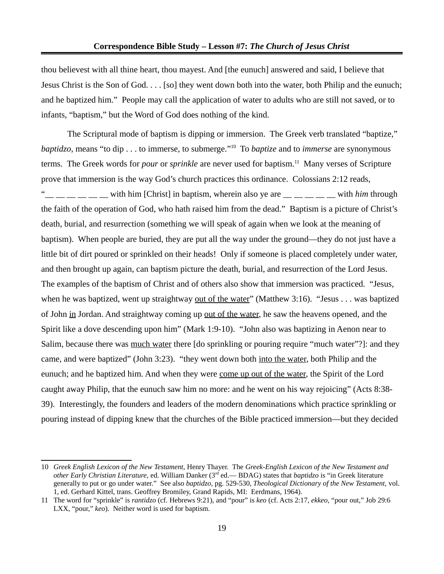thou believest with all thine heart, thou mayest. And [the eunuch] answered and said, I believe that Jesus Christ is the Son of God. . . . [so] they went down both into the water, both Philip and the eunuch; and he baptized him." People may call the application of water to adults who are still not saved, or to infants, "baptism," but the Word of God does nothing of the kind.

The Scriptural mode of baptism is dipping or immersion. The Greek verb translated "baptize," *baptidzo,* means "to dip . . . to immerse, to submerge."[10](#page-18-0) To *baptize* and to *immerse* are synonymous terms. The Greek words for *pour* or *sprinkle* are never used for baptism.<sup>[11](#page-18-1)</sup> Many verses of Scripture prove that immersion is the way God's church practices this ordinance. Colossians 2:12 reads,  $\frac{1}{1}$   $\frac{1}{1}$   $\frac{1}{2}$  with him [Christ] in baptism, wherein also ye are  $\frac{1}{1}$   $\frac{1}{2}$   $\frac{1}{2}$  with *him* through the faith of the operation of God, who hath raised him from the dead." Baptism is a picture of Christ's death, burial, and resurrection (something we will speak of again when we look at the meaning of baptism). When people are buried, they are put all the way under the ground—they do not just have a little bit of dirt poured or sprinkled on their heads! Only if someone is placed completely under water, and then brought up again, can baptism picture the death, burial, and resurrection of the Lord Jesus. The examples of the baptism of Christ and of others also show that immersion was practiced. "Jesus, when he was baptized, went up straightway <u>out of the water</u>" (Matthew 3:16). "Jesus . . . was baptized of John <u>in</u> Jordan. And straightway coming up <u>out of the water</u>, he saw the heavens opened, and the Spirit like a dove descending upon him" (Mark 1:9-10). "John also was baptizing in Aenon near to Salim, because there was much water there [do sprinkling or pouring require "much water"?]: and they came, and were baptized" (John 3:23). "they went down both into the water, both Philip and the eunuch; and he baptized him. And when they were come up out of the water, the Spirit of the Lord caught away Philip, that the eunuch saw him no more: and he went on his way rejoicing" (Acts 8:38- 39). Interestingly, the founders and leaders of the modern denominations which practice sprinkling or pouring instead of dipping knew that the churches of the Bible practiced immersion—but they decided

<span id="page-18-0"></span><sup>10</sup> *Greek English Lexicon of the New Testament,* Henry Thayer. The *Greek-English Lexicon of the New Testament and other Early Christian Literature,* ed. William Danker (3rd ed.— BDAG) states that *baptidzo* is "in Greek literature generally to put or go under water." See also *baptidzo,* pg. 529-530, *Theological Dictionary of the New Testament,* vol. 1, ed. Gerhard Kittel, trans. Geoffrey Bromiley, Grand Rapids, MI: Eerdmans, 1964).

<span id="page-18-1"></span><sup>11</sup> The word for "sprinkle" is *rantidzo* (cf. Hebrews 9:21), and "pour" is *keo* (cf. Acts 2:17, *ekkeo,* "pour out," Job 29:6 LXX, "pour," *keo*). Neither word is used for baptism.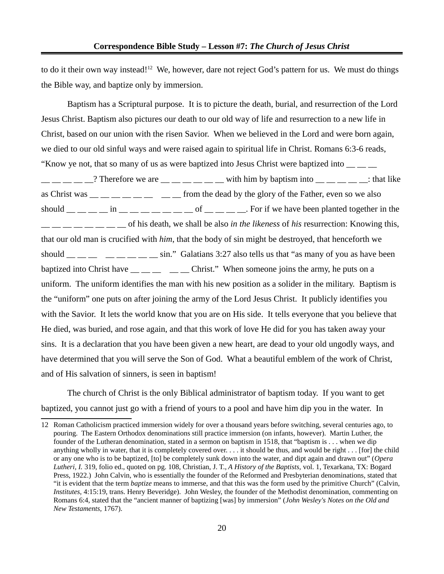to do it their own way instead!<sup>[12](#page-19-0)</sup> We, however, dare not reject God's pattern for us. We must do things the Bible way, and baptize only by immersion.

Baptism has a Scriptural purpose. It is to picture the death, burial, and resurrection of the Lord Jesus Christ. Baptism also pictures our death to our old way of life and resurrection to a new life in Christ, based on our union with the risen Savior. When we believed in the Lord and were born again, we died to our old sinful ways and were raised again to spiritual life in Christ. Romans 6:3-6 reads, "Know ye not, that so many of us as were baptized into Jesus Christ were baptized into \_\_ \_\_ \_\_  $\frac{1}{1}$   $\frac{1}{1}$   $\frac{1}{2}$   $\frac{1}{2}$   $\frac{1}{2}$  Therefore we are  $\frac{1}{1}$   $\frac{1}{1}$   $\frac{1}{1}$   $\frac{1}{1}$  with him by baptism into  $\frac{1}{1}$   $\frac{1}{1}$   $\frac{1}{1}$   $\frac{1}{1}$   $\frac{1}{1}$   $\frac{1}{1}$   $\frac{1}{1}$   $\frac{1}{1}$   $\frac{1}{1}$ as Christ was  $\frac{m}{m}$   $\frac{m}{m}$   $\frac{m}{m}$   $\frac{m}{m}$  from the dead by the glory of the Father, even so we also should  $\_\_\_\_\_\_\_\_\$  in  $\_\_\_\_\_\_\_\_\_\_\_\_\_$  of  $\_\_\_\_\_\_\_\_$ For if we have been planted together in the  $\frac{1}{1}$  \_\_ \_\_ \_\_ \_\_ \_\_ of his death, we shall be also *in the likeness* of *his* resurrection: Knowing this, that our old man is crucified with *him*, that the body of sin might be destroyed, that henceforth we should  $\_\_\_\_\_\_\_\_\_\_\_\_\_\_\_\_\_$   $\_\_\_\_\_\_$  sin." Galatians 3:27 also tells us that "as many of you as have been baptized into Christ have  $\frac{1}{\frac{1}{1-\frac{1}{1-\frac{1}{1-\frac{1}{1-\frac{1}{1-\frac{1}{1-\frac{1}{1-\frac{1}{1-\frac{1}{1-\frac{1}{1-\frac{1}{1-\frac{1}{1-\frac{1}{1-\frac{1}{1-\frac{1}{1-\frac{1}{1-\frac{1}{1-\frac{1}{1-\frac{1}{1-\frac{1}{1-\frac{1}{1-\frac{1}{1-\frac{1}{1-\frac{1}{1-\frac{1}{1-\frac{1}{1-\frac{1}{1-\frac{1}{1-\frac{1}{1-\frac{1}{1-\frac{1}{1-\frac{$ uniform. The uniform identifies the man with his new position as a solider in the military. Baptism is the "uniform" one puts on after joining the army of the Lord Jesus Christ. It publicly identifies you with the Savior. It lets the world know that you are on His side. It tells everyone that you believe that He died, was buried, and rose again, and that this work of love He did for you has taken away your sins. It is a declaration that you have been given a new heart, are dead to your old ungodly ways, and have determined that you will serve the Son of God. What a beautiful emblem of the work of Christ, and of His salvation of sinners, is seen in baptism!

The church of Christ is the only Biblical administrator of baptism today. If you want to get baptized, you cannot just go with a friend of yours to a pool and have him dip you in the water. In

<span id="page-19-0"></span><sup>12</sup> Roman Catholicism practiced immersion widely for over a thousand years before switching, several centuries ago, to pouring. The Eastern Orthodox denominations still practice immersion (on infants, however). Martin Luther, the founder of the Lutheran denomination, stated in a sermon on baptism in 1518, that "baptism is . . . when we dip anything wholly in water, that it is completely covered over. . . . it should be thus, and would be right . . . [for] the child or any one who is to be baptized, [to] be completely sunk down into the water, and dipt again and drawn out" (*Opera Lutheri, I.* 319, folio ed., quoted on pg. 108, Christian, J. T., *A History of the Baptists,* vol. 1, Texarkana, TX: Bogard Press, 1922.) John Calvin, who is essentially the founder of the Reformed and Presbyterian denominations, stated that "it is evident that the term *baptize* means to immerse, and that this was the form used by the primitive Church" (Calvin, *Institutes,* 4:15:19, trans. Henry Beveridge). John Wesley, the founder of the Methodist denomination, commenting on Romans 6:4, stated that the "ancient manner of baptizing [was] by immersion" (*John Wesley's Notes on the Old and New Testaments,* 1767).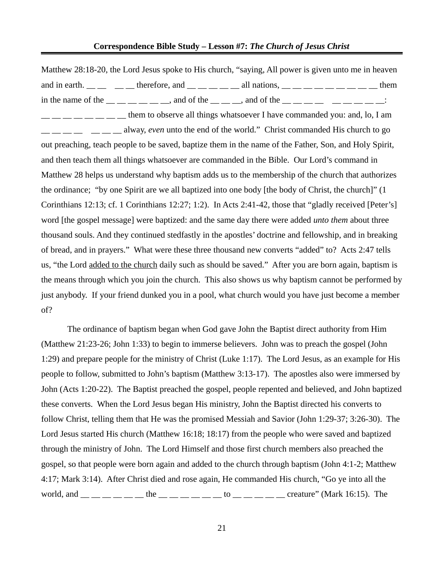Matthew 28:18-20, the Lord Jesus spoke to His church, "saying, All power is given unto me in heaven and in earth.  $\frac{1}{\sqrt{2}}$  \_\_ \_\_ \_\_ therefore, and \_\_ \_\_ \_\_ \_\_ all nations, \_\_ \_\_ \_\_ \_\_ \_\_ \_\_ \_\_ them in the name of the  $\frac{1}{1}$   $\frac{1}{1}$   $\frac{1}{1}$  and of the  $\frac{1}{1}$   $\frac{1}{1}$  and of the  $\frac{1}{1}$   $\frac{1}{1}$   $\frac{1}{1}$   $\frac{1}{1}$   $\frac{1}{1}$   $\frac{1}{1}$   $\frac{1}{1}$  $\frac{1}{1}$   $\frac{1}{1}$   $\frac{1}{1}$   $\frac{1}{1}$   $\frac{1}{1}$  them to observe all things whatsoever I have commanded you: and, lo, I am  $\frac{1}{1-\frac{1}{1-\frac{1}{1-\frac{1}{1-\frac{1}{1-\frac{1}{1-\frac{1}{1-\frac{1}{1-\frac{1}{1-\frac{1}{1-\frac{1}{1-\frac{1}{1-\frac{1}{1-\frac{1}{1-\frac{1}{1-\frac{1}{1-\frac{1}{1-\frac{1}{1-\frac{1}{1-\frac{1}{1-\frac{1}{1-\frac{1}{1-\frac{1}{1-\frac{1}{1-\frac{1}{1-\frac{1}{1-\frac{1}{1-\frac{1}{1-\frac{1}{1-\frac{1}{1-\frac{1}{1-\frac{1}{1-\frac{1}{1-\frac{1}{1-\frac{1}{1-\frac{1}{1-\frac{1}{$ out preaching, teach people to be saved, baptize them in the name of the Father, Son, and Holy Spirit, and then teach them all things whatsoever are commanded in the Bible. Our Lord's command in Matthew 28 helps us understand why baptism adds us to the membership of the church that authorizes the ordinance; "by one Spirit are we all baptized into one body [the body of Christ, the church]" (1 Corinthians 12:13; cf. 1 Corinthians 12:27; 1:2). In Acts 2:41-42, those that "gladly received [Peter's] word [the gospel message] were baptized: and the same day there were added *unto them* about three thousand souls. And they continued stedfastly in the apostles' doctrine and fellowship, and in breaking of bread, and in prayers." What were these three thousand new converts "added" to? Acts 2:47 tells us, "the Lord added to the church daily such as should be saved." After you are born again, baptism is the means through which you join the church. This also shows us why baptism cannot be performed by just anybody. If your friend dunked you in a pool, what church would you have just become a member of?

The ordinance of baptism began when God gave John the Baptist direct authority from Him (Matthew 21:23-26; John 1:33) to begin to immerse believers. John was to preach the gospel (John 1:29) and prepare people for the ministry of Christ (Luke 1:17). The Lord Jesus, as an example for His people to follow, submitted to John's baptism (Matthew 3:13-17). The apostles also were immersed by John (Acts 1:20-22). The Baptist preached the gospel, people repented and believed, and John baptized these converts. When the Lord Jesus began His ministry, John the Baptist directed his converts to follow Christ, telling them that He was the promised Messiah and Savior (John 1:29-37; 3:26-30). The Lord Jesus started His church (Matthew 16:18; 18:17) from the people who were saved and baptized through the ministry of John. The Lord Himself and those first church members also preached the gospel, so that people were born again and added to the church through baptism (John 4:1-2; Matthew 4:17; Mark 3:14). After Christ died and rose again, He commanded His church, "Go ye into all the world, and  $\frac{1}{\sqrt{1-\frac{1}{2}}}\frac{1}{\sqrt{1-\frac{1}{2}}}$  the  $\frac{1}{\sqrt{1-\frac{1}{2}}}\frac{1}{\sqrt{1-\frac{1}{2}}}$  to  $\frac{1}{\sqrt{1-\frac{1}{2}}}\frac{1}{\sqrt{1-\frac{1}{2}}}\frac{1}{\sqrt{1-\frac{1}{2}}}\frac{1}{\sqrt{1-\frac{1}{2}}}\frac{1}{\sqrt{1-\frac{1}{2}}}\frac{1}{\sqrt{1-\frac{1}{2}}}\frac{1}{\sqrt{1-\frac{1}{2}}}\frac{1}{\sqrt{1-\frac{1}{2}}}\frac{1$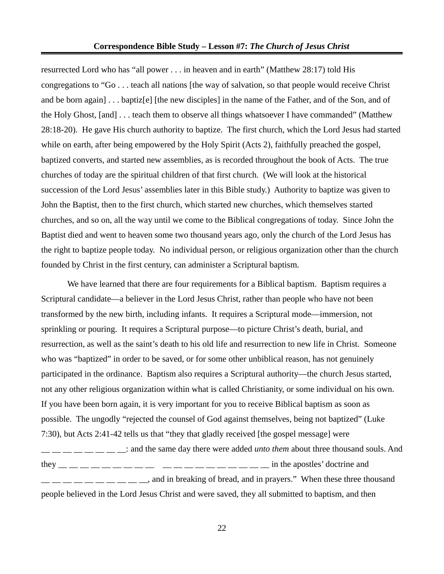#### **Correspondence Bible Study – Lesson #7:** *The Church of Jesus Christ*

resurrected Lord who has "all power . . . in heaven and in earth" (Matthew 28:17) told His congregations to "Go . . . teach all nations [the way of salvation, so that people would receive Christ and be born again] . . . baptiz[e] [the new disciples] in the name of the Father, and of the Son, and of the Holy Ghost, [and] . . . teach them to observe all things whatsoever I have commanded" (Matthew 28:18-20). He gave His church authority to baptize. The first church, which the Lord Jesus had started while on earth, after being empowered by the Holy Spirit (Acts 2), faithfully preached the gospel, baptized converts, and started new assemblies, as is recorded throughout the book of Acts. The true churches of today are the spiritual children of that first church. (We will look at the historical succession of the Lord Jesus' assemblies later in this Bible study.) Authority to baptize was given to John the Baptist, then to the first church, which started new churches, which themselves started churches, and so on, all the way until we come to the Biblical congregations of today. Since John the Baptist died and went to heaven some two thousand years ago, only the church of the Lord Jesus has the right to baptize people today. No individual person, or religious organization other than the church founded by Christ in the first century, can administer a Scriptural baptism.

We have learned that there are four requirements for a Biblical baptism. Baptism requires a Scriptural candidate—a believer in the Lord Jesus Christ, rather than people who have not been transformed by the new birth, including infants. It requires a Scriptural mode—immersion, not sprinkling or pouring. It requires a Scriptural purpose—to picture Christ's death, burial, and resurrection, as well as the saint's death to his old life and resurrection to new life in Christ. Someone who was "baptized" in order to be saved, or for some other unbiblical reason, has not genuinely participated in the ordinance. Baptism also requires a Scriptural authority—the church Jesus started, not any other religious organization within what is called Christianity, or some individual on his own. If you have been born again, it is very important for you to receive Biblical baptism as soon as possible. The ungodly "rejected the counsel of God against themselves, being not baptized" (Luke 7:30), but Acts 2:41-42 tells us that "they that gladly received [the gospel message] were \_\_ \_\_ \_\_ \_\_ \_\_ \_\_ \_\_ \_\_: and the same day there were added *unto them* about three thousand souls. And they  $\frac{1}{2}$   $\frac{1}{2}$   $\frac{1}{2}$   $\frac{1}{2}$   $\frac{1}{2}$   $\frac{1}{2}$   $\frac{1}{2}$   $\frac{1}{2}$   $\frac{1}{2}$   $\frac{1}{2}$   $\frac{1}{2}$   $\frac{1}{2}$   $\frac{1}{2}$   $\frac{1}{2}$   $\frac{1}{2}$   $\frac{1}{2}$   $\frac{1}{2}$   $\frac{1}{2}$   $\frac{1}{2}$   $\frac{1}{2}$   $\frac{1}{2}$   $\frac{1}{$ 

 $\frac{1}{1-\frac{1}{1-\frac{1}{1-\frac{1}{1-\frac{1}{1-\frac{1}{1-\frac{1}{1-\frac{1}{1-\frac{1}{1-\frac{1}{1-\frac{1}{1-\frac{1}{1-\frac{1}{1-\frac{1}{1-\frac{1}{1-\frac{1}{1-\frac{1}{1-\frac{1}{1-\frac{1}{1-\frac{1}{1-\frac{1}{1-\frac{1}{1-\frac{1}{1-\frac{1}{1-\frac{1}{1-\frac{1}{1-\frac{1}{1-\frac{1}{1-\frac{1}{1-\frac{1}{1-\frac{1}{1-\frac{1}{1-\frac{1}{1-\frac{1}{1-\frac{1}{1-\frac{1}{1-\frac{1}{$ people believed in the Lord Jesus Christ and were saved, they all submitted to baptism, and then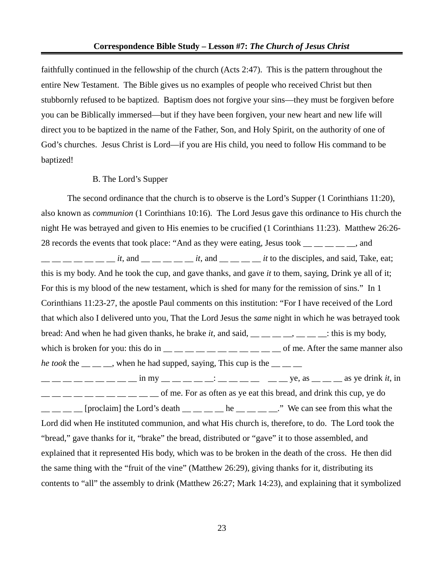faithfully continued in the fellowship of the church (Acts 2:47). This is the pattern throughout the entire New Testament. The Bible gives us no examples of people who received Christ but then stubbornly refused to be baptized. Baptism does not forgive your sins—they must be forgiven before you can be Biblically immersed—but if they have been forgiven, your new heart and new life will direct you to be baptized in the name of the Father, Son, and Holy Spirit, on the authority of one of God's churches. Jesus Christ is Lord—if you are His child, you need to follow His command to be baptized!

#### B. The Lord's Supper

The second ordinance that the church is to observe is the Lord's Supper (1 Corinthians 11:20), also known as *communion* (1 Corinthians 10:16)*.* The Lord Jesus gave this ordinance to His church the night He was betrayed and given to His enemies to be crucified (1 Corinthians 11:23). Matthew 26:26- 28 records the events that took place: "And as they were eating, Jesus took \_\_ \_ \_ \_ \_ \_, and  $\frac{1}{1}$   $\frac{1}{1}$   $\frac{1}{1}$   $\frac{1}{1}$   $\frac{1}{1}$   $\frac{1}{1}$   $\frac{1}{1}$   $\frac{1}{1}$   $\frac{1}{1}$   $\frac{1}{1}$   $\frac{1}{1}$   $\frac{1}{1}$   $\frac{1}{1}$   $\frac{1}{1}$   $\frac{1}{1}$   $\frac{1}{1}$   $\frac{1}{1}$   $\frac{1}{1}$   $\frac{1}{1}$   $\frac{1}{1}$   $\frac{1}{1}$   $\frac{1}{1}$  this is my body. And he took the cup, and gave thanks, and gave *it* to them, saying, Drink ye all of it; For this is my blood of the new testament, which is shed for many for the remission of sins." In 1 Corinthians 11:23-27, the apostle Paul comments on this institution: "For I have received of the Lord that which also I delivered unto you, That the Lord Jesus the *same* night in which he was betrayed took bread: And when he had given thanks, he brake *it*, and said, \_\_ \_\_ \_\_ \_\_, \_\_ \_\_ \_\_: this is my body, which is broken for you: this do in  $\_\_\_\_\_\_\_\_\_\_\_\_\_\_\_\_\_\_$  of me. After the same manner also *he took* the  $\cdot$  , when he had supped, saying, This cup is the  $\frac{1}{2}$   $\frac{1}{2}$   $\frac{1}{2}$   $\frac{1}{2}$   $\frac{1}{2}$   $\frac{1}{2}$   $\frac{1}{2}$   $\frac{1}{2}$   $\frac{1}{2}$   $\frac{1}{2}$   $\frac{1}{2}$   $\frac{1}{2}$   $\frac{1}{2}$   $\frac{1}{2}$   $\frac{1}{2}$   $\frac{1}{2}$   $\frac{1}{2}$   $\frac{1}{2}$   $\frac{1}{2}$   $\frac{1}{2}$   $\frac{1}{2}$   $\frac{1}{2}$   $\frac{1}{1}$   $\frac{1}{1}$   $\frac{1}{1}$   $\frac{1}{1}$   $\frac{1}{1}$   $\frac{1}{1}$   $\frac{1}{1}$   $\frac{1}{1}$  of me. For as often as ye eat this bread, and drink this cup, ye do

 $\frac{1}{1}$   $\frac{1}{1}$   $\frac{1}{2}$  [proclaim] the Lord's death  $\frac{1}{1}$   $\frac{1}{2}$   $\frac{1}{2}$  he  $\frac{1}{2}$   $\frac{1}{2}$   $\frac{1}{2}$ . We can see from this what the Lord did when He instituted communion, and what His church is, therefore, to do. The Lord took the "bread," gave thanks for it, "brake" the bread, distributed or "gave" it to those assembled, and explained that it represented His body, which was to be broken in the death of the cross. He then did the same thing with the "fruit of the vine" (Matthew 26:29), giving thanks for it, distributing its contents to "all" the assembly to drink (Matthew 26:27; Mark 14:23), and explaining that it symbolized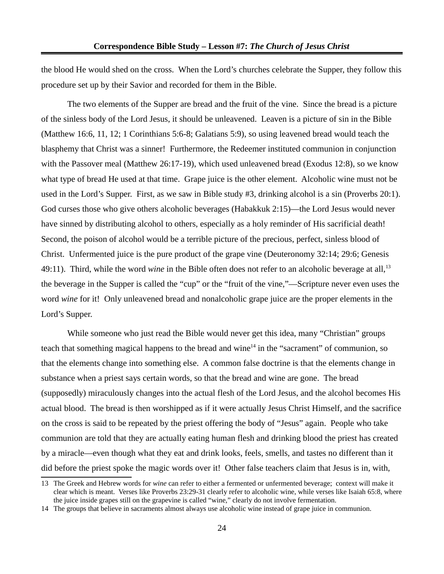the blood He would shed on the cross. When the Lord's churches celebrate the Supper, they follow this procedure set up by their Savior and recorded for them in the Bible.

The two elements of the Supper are bread and the fruit of the vine. Since the bread is a picture of the sinless body of the Lord Jesus, it should be unleavened. Leaven is a picture of sin in the Bible (Matthew 16:6, 11, 12; 1 Corinthians 5:6-8; Galatians 5:9), so using leavened bread would teach the blasphemy that Christ was a sinner! Furthermore, the Redeemer instituted communion in conjunction with the Passover meal (Matthew 26:17-19), which used unleavened bread (Exodus 12:8), so we know what type of bread He used at that time. Grape juice is the other element. Alcoholic wine must not be used in the Lord's Supper. First, as we saw in Bible study #3, drinking alcohol is a sin (Proverbs 20:1). God curses those who give others alcoholic beverages (Habakkuk 2:15)—the Lord Jesus would never have sinned by distributing alcohol to others, especially as a holy reminder of His sacrificial death! Second, the poison of alcohol would be a terrible picture of the precious, perfect, sinless blood of Christ. Unfermented juice is the pure product of the grape vine (Deuteronomy 32:14; 29:6; Genesis 49:11). Third, while the word wine in the Bible often does not refer to an alcoholic beverage at all,<sup>[13](#page-23-0)</sup> the beverage in the Supper is called the "cup" or the "fruit of the vine,"—Scripture never even uses the word *wine* for it! Only unleavened bread and nonalcoholic grape juice are the proper elements in the Lord's Supper.

While someone who just read the Bible would never get this idea, many "Christian" groups teach that something magical happens to the bread and wine<sup>[14](#page-23-1)</sup> in the "sacrament" of communion, so that the elements change into something else. A common false doctrine is that the elements change in substance when a priest says certain words, so that the bread and wine are gone. The bread (supposedly) miraculously changes into the actual flesh of the Lord Jesus, and the alcohol becomes His actual blood. The bread is then worshipped as if it were actually Jesus Christ Himself, and the sacrifice on the cross is said to be repeated by the priest offering the body of "Jesus" again. People who take communion are told that they are actually eating human flesh and drinking blood the priest has created by a miracle—even though what they eat and drink looks, feels, smells, and tastes no different than it did before the priest spoke the magic words over it! Other false teachers claim that Jesus is in, with,

<span id="page-23-0"></span><sup>13</sup> The Greek and Hebrew words for *wine* can refer to either a fermented or unfermented beverage; context will make it clear which is meant. Verses like Proverbs 23:29-31 clearly refer to alcoholic wine, while verses like Isaiah 65:8, where the juice inside grapes still on the grapevine is called "wine," clearly do not involve fermentation.

<span id="page-23-1"></span><sup>14</sup> The groups that believe in sacraments almost always use alcoholic wine instead of grape juice in communion.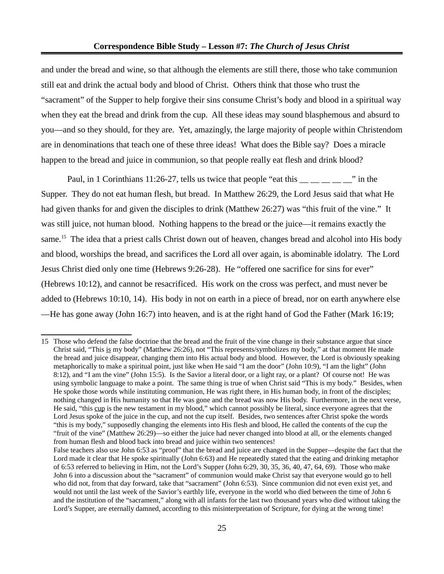and under the bread and wine, so that although the elements are still there, those who take communion still eat and drink the actual body and blood of Christ. Others think that those who trust the "sacrament" of the Supper to help forgive their sins consume Christ's body and blood in a spiritual way when they eat the bread and drink from the cup. All these ideas may sound blasphemous and absurd to you—and so they should, for they are. Yet, amazingly, the large majority of people within Christendom are in denominations that teach one of these three ideas! What does the Bible say? Does a miracle happen to the bread and juice in communion, so that people really eat flesh and drink blood?

Paul, in 1 Corinthians 11:26-27, tells us twice that people "eat this  $\frac{1}{2}$   $\frac{1}{2}$   $\frac{1}{2}$   $\frac{1}{2}$   $\frac{1}{2}$  in the Supper. They do not eat human flesh, but bread. In Matthew 26:29, the Lord Jesus said that what He had given thanks for and given the disciples to drink (Matthew 26:27) was "this fruit of the vine." It was still juice, not human blood. Nothing happens to the bread or the juice—it remains exactly the same.<sup>[15](#page-24-0)</sup> The idea that a priest calls Christ down out of heaven, changes bread and alcohol into His body and blood, worships the bread, and sacrifices the Lord all over again, is abominable idolatry. The Lord Jesus Christ died only one time (Hebrews 9:26-28). He "offered one sacrifice for sins for ever" (Hebrews 10:12), and cannot be resacrificed. His work on the cross was perfect, and must never be added to (Hebrews 10:10, 14). His body in not on earth in a piece of bread, nor on earth anywhere else —He has gone away (John 16:7) into heaven, and is at the right hand of God the Father (Mark 16:19;

<span id="page-24-0"></span><sup>15</sup> Those who defend the false doctrine that the bread and the fruit of the vine change in their substance argue that since Christ said, "This is my body" (Matthew 26:26), not "This represents/symbolizes my body," at that moment He made the bread and juice disappear, changing them into His actual body and blood. However, the Lord is obviously speaking metaphorically to make a spiritual point, just like when He said "I am the door" (John 10:9), "I am the light" (John 8:12), and "I am the vine" (John 15:5). Is the Savior a literal door, or a light ray, or a plant? Of course not! He was using symbolic language to make a point. The same thing is true of when Christ said "This is my body." Besides, when He spoke those words while instituting communion, He was right there, in His human body, in front of the disciples; nothing changed in His humanity so that He was gone and the bread was now His body. Furthermore, in the next verse, He said, "this cup is the new testament in my blood," which cannot possibly be literal, since everyone agrees that the Lord Jesus spoke of the juice in the cup, and not the cup itself. Besides, two sentences after Christ spoke the words "this is my body," supposedly changing the elements into His flesh and blood, He called the contents of the cup the "fruit of the vine" (Matthew 26:29)—so either the juice had never changed into blood at all, or the elements changed from human flesh and blood back into bread and juice within two sentences!

False teachers also use John 6:53 as "proof" that the bread and juice are changed in the Supper—despite the fact that the Lord made it clear that He spoke spiritually (John 6:63) and He repeatedly stated that the eating and drinking metaphor of 6:53 referred to believing in Him, not the Lord's Supper (John 6:29, 30, 35, 36, 40, 47, 64, 69). Those who make John 6 into a discussion about the "sacrament" of communion would make Christ say that everyone would go to hell who did not, from that day forward, take that "sacrament" (John 6:53). Since communion did not even exist yet, and would not until the last week of the Savior's earthly life, everyone in the world who died between the time of John 6 and the institution of the "sacrament," along with all infants for the last two thousand years who died without taking the Lord's Supper, are eternally damned, according to this misinterpretation of Scripture, for dying at the wrong time!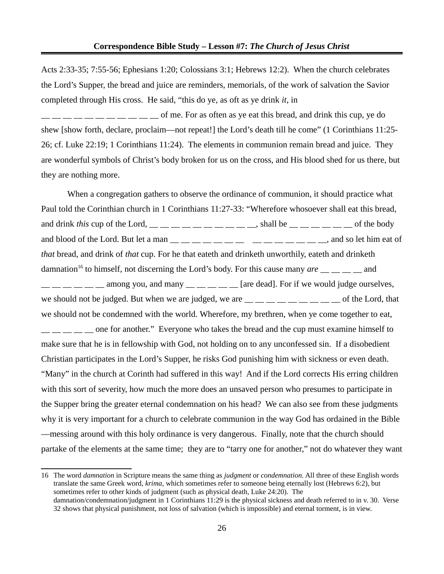Acts 2:33-35; 7:55-56; Ephesians 1:20; Colossians 3:1; Hebrews 12:2). When the church celebrates the Lord's Supper, the bread and juice are reminders, memorials, of the work of salvation the Savior completed through His cross. He said, "this do ye, as oft as ye drink *it*, in

 $\frac{1}{1}$   $\frac{1}{1}$   $\frac{1}{1}$   $\frac{1}{1}$   $\frac{1}{1}$   $\frac{1}{1}$  of me. For as often as ye eat this bread, and drink this cup, ye do shew [show forth, declare, proclaim—not repeat!] the Lord's death till he come" (1 Corinthians 11:25- 26; cf. Luke 22:19; 1 Corinthians 11:24). The elements in communion remain bread and juice. They are wonderful symbols of Christ's body broken for us on the cross, and His blood shed for us there, but they are nothing more.

When a congregation gathers to observe the ordinance of communion, it should practice what Paul told the Corinthian church in 1 Corinthians 11:27-33: "Wherefore whosoever shall eat this bread, and drink *this* cup of the Lord,  $\_\_$   $\_\_$   $\_\_$   $\_\_$   $\_\_$   $\_\_$  shall be  $\_\_$   $\_\_$   $\_\_$  of the body and blood of the Lord. But let a man  $\frac{1}{\frac{1}{2}}$   $\frac{1}{\frac{1}{2}}$   $\frac{1}{\frac{1}{2}}$   $\frac{1}{\frac{1}{2}}$   $\frac{1}{\frac{1}{2}}$   $\frac{1}{\frac{1}{2}}$  and so let him eat of *that* bread, and drink of *that* cup. For he that eateth and drinketh unworthily, eateth and drinketh damnation<sup>[16](#page-25-0)</sup> to himself, not discerning the Lord's body. For this cause many *are* <sub>\_\_</sub> \_\_ \_ \_ and  $\frac{1}{1}$   $\frac{1}{1}$   $\frac{1}{2}$  among you, and many  $\frac{1}{1}$   $\frac{1}{2}$   $\frac{1}{2}$  are dead]. For if we would judge ourselves, we should not be judged. But when we are judged, we are  $\frac{1}{1}$   $\frac{1}{1}$   $\frac{1}{1}$   $\frac{1}{1}$   $\frac{1}{1}$   $\frac{1}{1}$   $\frac{1}{1}$   $\frac{1}{1}$  of the Lord, that we should not be condemned with the world. Wherefore, my brethren, when ye come together to eat,  $\frac{1}{1}$  \_\_ \_\_ \_\_ \_\_ one for another." Everyone who takes the bread and the cup must examine himself to make sure that he is in fellowship with God, not holding on to any unconfessed sin. If a disobedient Christian participates in the Lord's Supper, he risks God punishing him with sickness or even death. "Many" in the church at Corinth had suffered in this way! And if the Lord corrects His erring children with this sort of severity, how much the more does an unsaved person who presumes to participate in the Supper bring the greater eternal condemnation on his head? We can also see from these judgments why it is very important for a church to celebrate communion in the way God has ordained in the Bible —messing around with this holy ordinance is very dangerous. Finally, note that the church should partake of the elements at the same time; they are to "tarry one for another," not do whatever they want

<span id="page-25-0"></span>16 The word *damnation* in Scripture means the same thing as *judgment* or *condemnation.* All three of these English words translate the same Greek word, *krima,* which sometimes refer to someone being eternally lost (Hebrews 6:2), but sometimes refer to other kinds of judgment (such as physical death, Luke 24:20). The damnation/condemnation/judgment in 1 Corinthians 11:29 is the physical sickness and death referred to in v. 30. Verse 32 shows that physical punishment, not loss of salvation (which is impossible) and eternal torment, is in view.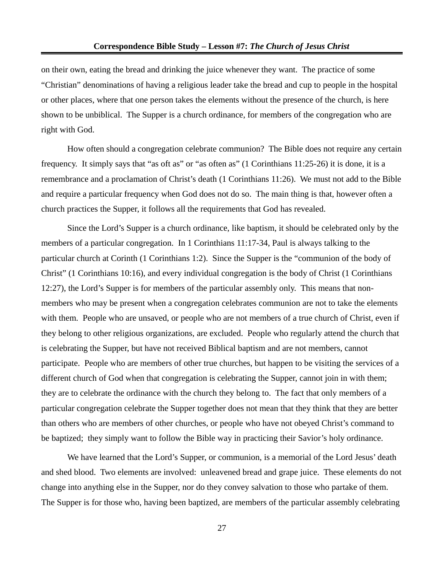on their own, eating the bread and drinking the juice whenever they want. The practice of some "Christian" denominations of having a religious leader take the bread and cup to people in the hospital or other places, where that one person takes the elements without the presence of the church, is here shown to be unbiblical. The Supper is a church ordinance, for members of the congregation who are right with God.

How often should a congregation celebrate communion? The Bible does not require any certain frequency. It simply says that "as oft as" or "as often as" (1 Corinthians 11:25-26) it is done, it is a remembrance and a proclamation of Christ's death (1 Corinthians 11:26). We must not add to the Bible and require a particular frequency when God does not do so. The main thing is that, however often a church practices the Supper, it follows all the requirements that God has revealed.

Since the Lord's Supper is a church ordinance, like baptism, it should be celebrated only by the members of a particular congregation. In 1 Corinthians 11:17-34, Paul is always talking to the particular church at Corinth (1 Corinthians 1:2). Since the Supper is the "communion of the body of Christ" (1 Corinthians 10:16), and every individual congregation is the body of Christ (1 Corinthians 12:27), the Lord's Supper is for members of the particular assembly only. This means that nonmembers who may be present when a congregation celebrates communion are not to take the elements with them. People who are unsaved, or people who are not members of a true church of Christ, even if they belong to other religious organizations, are excluded. People who regularly attend the church that is celebrating the Supper, but have not received Biblical baptism and are not members, cannot participate. People who are members of other true churches, but happen to be visiting the services of a different church of God when that congregation is celebrating the Supper, cannot join in with them; they are to celebrate the ordinance with the church they belong to. The fact that only members of a particular congregation celebrate the Supper together does not mean that they think that they are better than others who are members of other churches, or people who have not obeyed Christ's command to be baptized; they simply want to follow the Bible way in practicing their Savior's holy ordinance.

We have learned that the Lord's Supper, or communion, is a memorial of the Lord Jesus' death and shed blood. Two elements are involved: unleavened bread and grape juice. These elements do not change into anything else in the Supper, nor do they convey salvation to those who partake of them. The Supper is for those who, having been baptized, are members of the particular assembly celebrating

27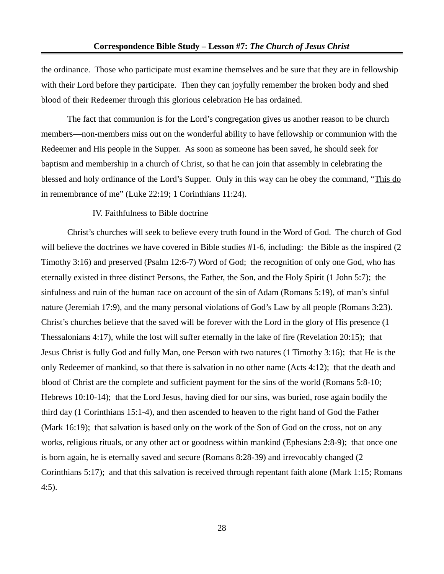the ordinance. Those who participate must examine themselves and be sure that they are in fellowship with their Lord before they participate. Then they can joyfully remember the broken body and shed blood of their Redeemer through this glorious celebration He has ordained.

The fact that communion is for the Lord's congregation gives us another reason to be church members—non-members miss out on the wonderful ability to have fellowship or communion with the Redeemer and His people in the Supper. As soon as someone has been saved, he should seek for baptism and membership in a church of Christ, so that he can join that assembly in celebrating the blessed and holy ordinance of the Lord's Supper. Only in this way can he obey the command, "This do in remembrance of me" (Luke 22:19; 1 Corinthians 11:24).

### IV. Faithfulness to Bible doctrine

Christ's churches will seek to believe every truth found in the Word of God. The church of God will believe the doctrines we have covered in Bible studies #1-6, including: the Bible as the inspired (2 Timothy 3:16) and preserved (Psalm 12:6-7) Word of God; the recognition of only one God, who has eternally existed in three distinct Persons, the Father, the Son, and the Holy Spirit (1 John 5:7); the sinfulness and ruin of the human race on account of the sin of Adam (Romans 5:19), of man's sinful nature (Jeremiah 17:9), and the many personal violations of God's Law by all people (Romans 3:23). Christ's churches believe that the saved will be forever with the Lord in the glory of His presence (1 Thessalonians 4:17), while the lost will suffer eternally in the lake of fire (Revelation 20:15); that Jesus Christ is fully God and fully Man, one Person with two natures (1 Timothy 3:16); that He is the only Redeemer of mankind, so that there is salvation in no other name (Acts 4:12); that the death and blood of Christ are the complete and sufficient payment for the sins of the world (Romans 5:8-10; Hebrews 10:10-14); that the Lord Jesus, having died for our sins, was buried, rose again bodily the third day (1 Corinthians 15:1-4), and then ascended to heaven to the right hand of God the Father (Mark 16:19); that salvation is based only on the work of the Son of God on the cross, not on any works, religious rituals, or any other act or goodness within mankind (Ephesians 2:8-9); that once one is born again, he is eternally saved and secure (Romans 8:28-39) and irrevocably changed (2 Corinthians 5:17); and that this salvation is received through repentant faith alone (Mark 1:15; Romans 4:5).

28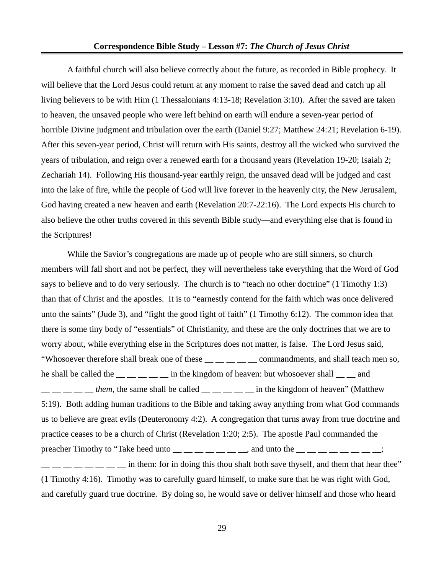A faithful church will also believe correctly about the future, as recorded in Bible prophecy. It will believe that the Lord Jesus could return at any moment to raise the saved dead and catch up all living believers to be with Him (1 Thessalonians 4:13-18; Revelation 3:10). After the saved are taken to heaven, the unsaved people who were left behind on earth will endure a seven-year period of horrible Divine judgment and tribulation over the earth (Daniel 9:27; Matthew 24:21; Revelation 6-19). After this seven-year period, Christ will return with His saints, destroy all the wicked who survived the years of tribulation, and reign over a renewed earth for a thousand years (Revelation 19-20; Isaiah 2; Zechariah 14). Following His thousand-year earthly reign, the unsaved dead will be judged and cast into the lake of fire, while the people of God will live forever in the heavenly city, the New Jerusalem, God having created a new heaven and earth (Revelation 20:7-22:16). The Lord expects His church to also believe the other truths covered in this seventh Bible study—and everything else that is found in the Scriptures!

While the Savior's congregations are made up of people who are still sinners, so church members will fall short and not be perfect, they will nevertheless take everything that the Word of God says to believe and to do very seriously. The church is to "teach no other doctrine" (1 Timothy 1:3) than that of Christ and the apostles. It is to "earnestly contend for the faith which was once delivered unto the saints" (Jude 3), and "fight the good fight of faith" (1 Timothy 6:12). The common idea that there is some tiny body of "essentials" of Christianity, and these are the only doctrines that we are to worry about, while everything else in the Scriptures does not matter, is false. The Lord Jesus said, "Whosoever therefore shall break one of these \_\_ \_\_ \_\_ \_\_ \_\_ commandments, and shall teach men so, he shall be called the  $\frac{m}{m}$   $\frac{m}{m}$  in the kingdom of heaven: but whosoever shall  $\frac{m}{m}$  and  $\frac{1}{1}$   $\frac{1}{1}$   $\frac{1}{1}$   $\frac{1}{1}$   $\frac{1}{1}$   $\frac{1}{1}$   $\frac{1}{1}$   $\frac{1}{1}$   $\frac{1}{1}$   $\frac{1}{1}$   $\frac{1}{1}$   $\frac{1}{1}$   $\frac{1}{1}$   $\frac{1}{1}$   $\frac{1}{1}$   $\frac{1}{1}$   $\frac{1}{1}$   $\frac{1}{1}$   $\frac{1}{1}$   $\frac{1}{1}$   $\frac{1}{1}$   $\frac{1}{1}$  5:19). Both adding human traditions to the Bible and taking away anything from what God commands us to believe are great evils (Deuteronomy 4:2). A congregation that turns away from true doctrine and practice ceases to be a church of Christ (Revelation 1:20; 2:5). The apostle Paul commanded the preacher Timothy to "Take heed unto  $\_\_\_\_\_\_\_\_\_\_$  and unto the  $\_\_\_\_\_\_\_\_\_\_$ in them: for in doing this thou shalt both save thyself, and them that hear thee" (1 Timothy 4:16). Timothy was to carefully guard himself, to make sure that he was right with God,

29

and carefully guard true doctrine. By doing so, he would save or deliver himself and those who heard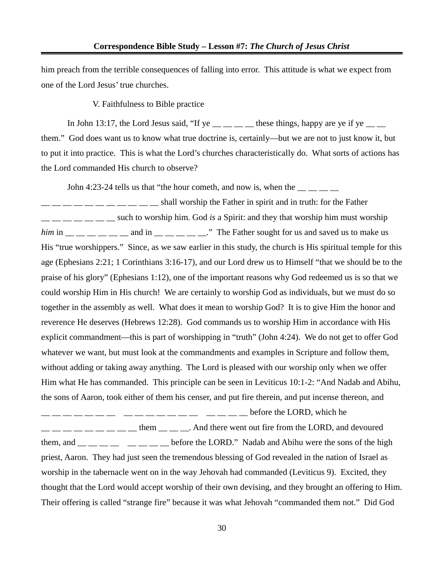him preach from the terrible consequences of falling into error. This attitude is what we expect from one of the Lord Jesus' true churches.

V. Faithfulness to Bible practice

In John 13:17, the Lord Jesus said, "If ye  $\_\_\_\_\_\_\_\_\_\$  these things, happy are ye if ye  $\_\_\_\_\_\_\$ them." God does want us to know what true doctrine is, certainly—but we are not to just know it, but to put it into practice. This is what the Lord's churches characteristically do. What sorts of actions has the Lord commanded His church to observe?

John 4:23-24 tells us that "the hour cometh, and now is, when the  $\frac{1}{\sqrt{2}}$ 

 $\frac{1}{2}$   $\frac{1}{2}$   $\frac{1}{2}$   $\frac{1}{2}$   $\frac{1}{2}$   $\frac{1}{2}$   $\frac{1}{2}$  shall worship the Father in spirit and in truth: for the Father \_\_ \_\_ \_\_ \_\_ \_\_ \_\_ \_\_ such to worship him. God *is* a Spirit: and they that worship him must worship *him* in \_\_ \_\_ \_\_ \_\_ \_\_ \_\_ and in \_\_ \_\_ \_\_ \_\_ \_\_." The Father sought for us and saved us to make us His "true worshippers." Since, as we saw earlier in this study, the church is His spiritual temple for this age (Ephesians 2:21; 1 Corinthians 3:16-17), and our Lord drew us to Himself "that we should be to the praise of his glory" (Ephesians 1:12), one of the important reasons why God redeemed us is so that we could worship Him in His church! We are certainly to worship God as individuals, but we must do so together in the assembly as well. What does it mean to worship God? It is to give Him the honor and reverence He deserves (Hebrews 12:28). God commands us to worship Him in accordance with His explicit commandment—this is part of worshipping in "truth" (John 4:24). We do not get to offer God whatever we want, but must look at the commandments and examples in Scripture and follow them, without adding or taking away anything. The Lord is pleased with our worship only when we offer Him what He has commanded. This principle can be seen in Leviticus 10:1-2: "And Nadab and Abihu, the sons of Aaron, took either of them his censer, and put fire therein, and put incense thereon, and

 $\texttt{---}\,\texttt{---}\,\texttt{---}\,\texttt{---}\,\texttt{---}\,\texttt{---}\,\texttt{---}\,\texttt{---}\,\texttt{---}\,\texttt{---}\,\texttt{---}\,\texttt{---}\,\texttt{---}\,\texttt{---}\,\texttt{---}\,\texttt{---}\,\texttt{---}\,\texttt{---}\,\texttt{---}\,\texttt{---}\,\texttt{---}\,\texttt{---}\,\texttt{---}\,\texttt{---}\,\texttt{---}\,\texttt{---}\,\texttt{---}\,\texttt{---}\,\texttt{---}\,\texttt{---}\,\texttt{---}\,\texttt{---}\,\texttt{---}\,\texttt{---}\,\texttt{---}\,\texttt{---}\,\texttt{$  $\frac{1}{2}$   $\frac{1}{2}$   $\frac{1}{2}$   $\frac{1}{2}$   $\frac{1}{2}$   $\frac{1}{2}$  them  $\frac{1}{2}$   $\frac{1}{2}$ . And there went out fire from the LORD, and devoured them, and  $\frac{1}{1}$   $\frac{1}{1}$   $\frac{1}{1}$   $\frac{1}{1}$   $\frac{1}{1}$   $\frac{1}{1}$  before the LORD." Nadab and Abihu were the sons of the high priest, Aaron. They had just seen the tremendous blessing of God revealed in the nation of Israel as worship in the tabernacle went on in the way Jehovah had commanded (Leviticus 9). Excited, they thought that the Lord would accept worship of their own devising, and they brought an offering to Him. Their offering is called "strange fire" because it was what Jehovah "commanded them not." Did God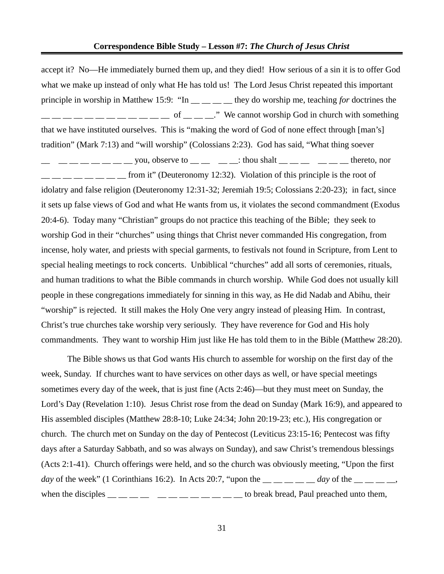accept it? No—He immediately burned them up, and they died! How serious of a sin it is to offer God what we make up instead of only what He has told us! The Lord Jesus Christ repeated this important principle in worship in Matthew 15:9: "In \_\_ \_\_ \_\_ \_\_ they do worship me, teaching *for* doctrines the  $\frac{1}{1}$   $\frac{1}{1}$   $\frac{1}{1}$   $\frac{1}{1}$   $\frac{1}{1}$   $\frac{1}{1}$   $\frac{1}{1}$   $\frac{1}{1}$  of  $\frac{1}{1}$   $\frac{1}{1}$ . We cannot worship God in church with something that we have instituted ourselves. This is "making the word of God of none effect through [man's] tradition" (Mark 7:13) and "will worship" (Colossians 2:23). God has said, "What thing soever  $\mathsf{L} = \mathsf{L} = \mathsf{L} = \mathsf{L} = \mathsf{L}$  you, observe to  $\mathsf{L} = \mathsf{L} = \mathsf{L}$  is thou shalt  $\mathsf{L} = \mathsf{L} = \mathsf{L} = \mathsf{L}$  thereto, nor  $\frac{1}{1-\frac{1}{1-\frac{1}{1-\frac{1}{1-\frac{1}{1-\frac{1}{1-\frac{1}{1-\frac{1}{1-\frac{1}{1-\frac{1}{1-\frac{1}{1-\frac{1}{1-\frac{1}{1-\frac{1}{1-\frac{1}{1-\frac{1}{1-\frac{1}{1-\frac{1}{1-\frac{1}{1-\frac{1}{1-\frac{1}{1-\frac{1}{1-\frac{1}{1-\frac{1}{1-\frac{1}{1-\frac{1}{1-\frac{1}{1-\frac{1}{1-\frac{1}{1-\frac{1}{1-\frac{1}{1-\frac{1}{1-\frac{1}{1-\frac{1}{1-\frac{1}{1-\frac{1}{1-\frac{1$ idolatry and false religion (Deuteronomy 12:31-32; Jeremiah 19:5; Colossians 2:20-23); in fact, since it sets up false views of God and what He wants from us, it violates the second commandment (Exodus 20:4-6). Today many "Christian" groups do not practice this teaching of the Bible; they seek to worship God in their "churches" using things that Christ never commanded His congregation, from incense, holy water, and priests with special garments, to festivals not found in Scripture, from Lent to special healing meetings to rock concerts. Unbiblical "churches" add all sorts of ceremonies, rituals, and human traditions to what the Bible commands in church worship. While God does not usually kill people in these congregations immediately for sinning in this way, as He did Nadab and Abihu, their "worship" is rejected. It still makes the Holy One very angry instead of pleasing Him. In contrast, Christ's true churches take worship very seriously. They have reverence for God and His holy commandments. They want to worship Him just like He has told them to in the Bible (Matthew 28:20).

The Bible shows us that God wants His church to assemble for worship on the first day of the week, Sunday. If churches want to have services on other days as well, or have special meetings sometimes every day of the week, that is just fine (Acts 2:46)—but they must meet on Sunday, the Lord's Day (Revelation 1:10). Jesus Christ rose from the dead on Sunday (Mark 16:9), and appeared to His assembled disciples (Matthew 28:8-10; Luke 24:34; John 20:19-23; etc.), His congregation or church. The church met on Sunday on the day of Pentecost (Leviticus 23:15-16; Pentecost was fifty days after a Saturday Sabbath, and so was always on Sunday), and saw Christ's tremendous blessings (Acts 2:1-41). Church offerings were held, and so the church was obviously meeting, "Upon the first *day* of the week" (1 Corinthians 16:2). In Acts 20:7, "upon the  $\frac{1}{2}$  and  $\frac{dy}{dx}$  of the  $\frac{1}{2}$   $\frac{dy}{dx}$ when the disciples  $\frac{1}{1-\frac{1}{1-\frac{1}{1-\frac{1}{1-\frac{1}{1-\frac{1}{1-\frac{1}{1-\frac{1}{1-\frac{1}{1-\frac{1}{1-\frac{1}{1-\frac{1}{1-\frac{1}{1-\frac{1}{1-\frac{1}{1-\frac{1}{1-\frac{1}{1-\frac{1}{1-\frac{1}{1-\frac{1}{1-\frac{1}{1-\frac{1}{1-\frac{1}{1-\frac{1}{1-\frac{1}{1-\frac{1}{1-\frac{1}{1-\frac{1}{1-\frac{1}{1-\frac{1}{1-\frac{1}{1-\frac{1}{1-\frac{1}{1-\frac{$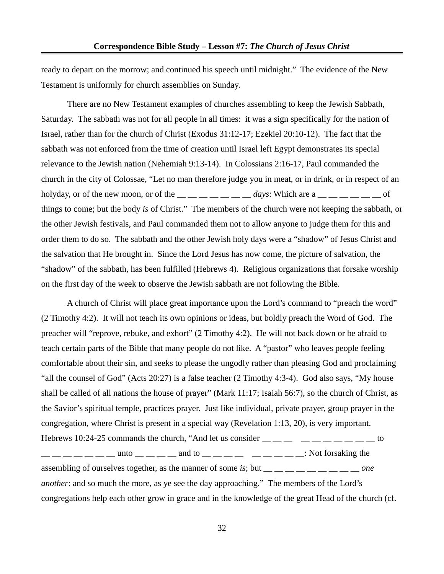ready to depart on the morrow; and continued his speech until midnight." The evidence of the New Testament is uniformly for church assemblies on Sunday.

There are no New Testament examples of churches assembling to keep the Jewish Sabbath, Saturday. The sabbath was not for all people in all times: it was a sign specifically for the nation of Israel, rather than for the church of Christ (Exodus 31:12-17; Ezekiel 20:10-12). The fact that the sabbath was not enforced from the time of creation until Israel left Egypt demonstrates its special relevance to the Jewish nation (Nehemiah 9:13-14). In Colossians 2:16-17, Paul commanded the church in the city of Colossae, "Let no man therefore judge you in meat, or in drink, or in respect of an holyday, or of the new moon, or of the  $\_\_\_\_\_\_\_\_$   $\_\_\_\_$  *days*: Which are a  $\_\_\_\_\_\_\_\_$ things to come; but the body *is* of Christ." The members of the church were not keeping the sabbath, or the other Jewish festivals, and Paul commanded them not to allow anyone to judge them for this and order them to do so. The sabbath and the other Jewish holy days were a "shadow" of Jesus Christ and the salvation that He brought in. Since the Lord Jesus has now come, the picture of salvation, the "shadow" of the sabbath, has been fulfilled (Hebrews 4). Religious organizations that forsake worship on the first day of the week to observe the Jewish sabbath are not following the Bible.

A church of Christ will place great importance upon the Lord's command to "preach the word" (2 Timothy 4:2). It will not teach its own opinions or ideas, but boldly preach the Word of God. The preacher will "reprove, rebuke, and exhort" (2 Timothy 4:2). He will not back down or be afraid to teach certain parts of the Bible that many people do not like. A "pastor" who leaves people feeling comfortable about their sin, and seeks to please the ungodly rather than pleasing God and proclaiming "all the counsel of God" (Acts 20:27) is a false teacher (2 Timothy 4:3-4). God also says, "My house shall be called of all nations the house of prayer" (Mark 11:17; Isaiah 56:7), so the church of Christ, as the Savior's spiritual temple, practices prayer. Just like individual, private prayer, group prayer in the congregation, where Christ is present in a special way (Revelation 1:13, 20), is very important. Hebrews 10:24-25 commands the church, "And let us consider  $\frac{1}{1}$   $\frac{1}{1}$   $\frac{1}{1}$   $\frac{1}{1}$   $\frac{1}{1}$   $\frac{1}{1}$   $\frac{1}{1}$   $\frac{1}{1}$  to  $\frac{1}{1}$   $\frac{1}{1}$   $\frac{1}{1}$   $\frac{1}{1}$   $\frac{1}{1}$   $\frac{1}{1}$   $\frac{1}{1}$   $\frac{1}{1}$   $\frac{1}{1}$  and to  $\frac{1}{1}$   $\frac{1}{1}$   $\frac{1}{1}$   $\frac{1}{1}$   $\frac{1}{1}$   $\frac{1}{1}$   $\frac{1}{1}$   $\frac{1}{1}$   $\frac{1}{1}$   $\frac{1}{1}$   $\frac{1}{1}$   $\frac{1}{1}$   $\frac{$ 

assembling of ourselves together, as the manner of some *is*; but <sub>\_\_</sub> \_\_ \_\_ \_\_ \_\_ \_\_ \_\_ *one another*: and so much the more, as ye see the day approaching." The members of the Lord's congregations help each other grow in grace and in the knowledge of the great Head of the church (cf.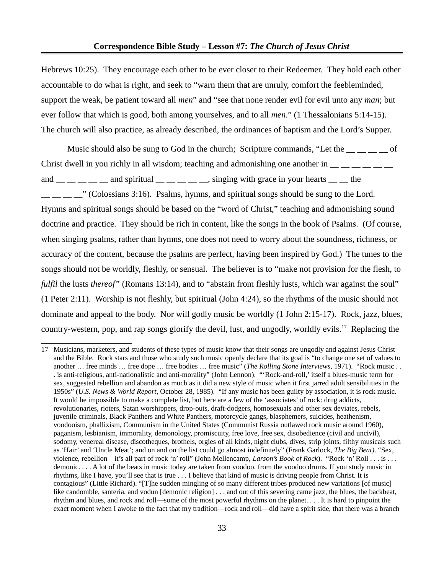Hebrews 10:25). They encourage each other to be ever closer to their Redeemer. They hold each other accountable to do what is right, and seek to "warn them that are unruly, comfort the feebleminded, support the weak, be patient toward all *men*" and "see that none render evil for evil unto any *man*; but ever follow that which is good, both among yourselves, and to all *men*." (1 Thessalonians 5:14-15). The church will also practice, as already described, the ordinances of baptism and the Lord's Supper.

Music should also be sung to God in the church; Scripture commands, "Let the  $\qquad \qquad$  of Christ dwell in you richly in all wisdom; teaching and admonishing one another in  $\frac{1}{1-\frac{1}{1-\frac{1}{1-\frac{1}{1-\frac{1}{1-\frac{1}{1-\frac{1}{1-\frac{1}{1-\frac{1}{1-\frac{1}{1-\frac{1}{1-\frac{1}{1-\frac{1}{1-\frac{1}{1-\frac{1}{1-\frac{1}{1-\frac{1}{1-\frac{1}{1-\frac{1}{1-\frac{1}{1-\frac{1}{1-\frac{1}{1-\frac{1}{1$ 

and  $\_\_\_\_\_\_\_\_\_\$ and spiritual  $\_\_\_\_\_\_\_\$ singing with grace in your hearts  $\_\_\_\_\$ the

 $\frac{1}{1}$   $\frac{1}{1}$   $\frac{1}{2}$  (Colossians 3:16). Psalms, hymns, and spiritual songs should be sung to the Lord. Hymns and spiritual songs should be based on the "word of Christ," teaching and admonishing sound doctrine and practice. They should be rich in content, like the songs in the book of Psalms. (Of course, when singing psalms, rather than hymns, one does not need to worry about the soundness, richness, or accuracy of the content, because the psalms are perfect, having been inspired by God.) The tunes to the songs should not be worldly, fleshly, or sensual. The believer is to "make not provision for the flesh, to *fulfil* the lusts *thereof*" (Romans 13:14), and to "abstain from fleshly lusts, which war against the soul" (1 Peter 2:11). Worship is not fleshly, but spiritual (John 4:24), so the rhythms of the music should not dominate and appeal to the body. Nor will godly music be worldly (1 John 2:15-17). Rock, jazz, blues, country-western, pop, and rap songs glorify the devil, lust, and ungodly, worldly evils.<sup>[17](#page-32-0)</sup> Replacing the

<span id="page-32-0"></span><sup>17</sup> Musicians, marketers, and students of these types of music know that their songs are ungodly and against Jesus Christ and the Bible. Rock stars and those who study such music openly declare that its goal is "to change one set of values to another … free minds … free dope … free bodies … free music" (*The Rolling Stone Interviews*, 1971). "Rock music . . . is anti-religious, anti-nationalistic and anti-morality" (John Lennon). "'Rock-and-roll,' itself a blues-music term for sex, suggested rebellion and abandon as much as it did a new style of music when it first jarred adult sensibilities in the 1950s" (*U.S. News & World Report*, October 28, 1985). "If any music has been guilty by association, it is rock music. It would be impossible to make a complete list, but here are a few of the 'associates' of rock: drug addicts, revolutionaries, rioters, Satan worshippers, drop-outs, draft-dodgers, homosexuals and other sex deviates, rebels, juvenile criminals, Black Panthers and White Panthers, motorcycle gangs, blasphemers, suicides, heathenism, voodooism, phallixism, Communism in the United States (Communist Russia outlawed rock music around 1960), paganism, lesbianism, immorality, demonology, promiscuity, free love, free sex, disobedience (civil and uncivil), sodomy, venereal disease, discotheques, brothels, orgies of all kinds, night clubs, dives, strip joints, filthy musicals such as 'Hair' and 'Uncle Meat'; and on and on the list could go almost indefinitely" (Frank Garlock, *The Big Beat)*. "Sex, violence, rebellion—it's all part of rock 'n' roll" (John Mellencamp, *Larson's Book of Rock*). "Rock 'n' Roll . . . is . . . demonic. . . . A lot of the beats in music today are taken from voodoo, from the voodoo drums. If you study music in rhythms, like I have, you'll see that is true . . . I believe that kind of music is driving people from Christ. It is contagious" (Little Richard). "[T]he sudden mingling of so many different tribes produced new variations [of music] like candomble, santeria, and vodun [demonic religion] . . . and out of this severing came jazz, the blues, the backbeat, rhythm and blues, and rock and roll—some of the most powerful rhythms on the planet. . . . It is hard to pinpoint the exact moment when I awoke to the fact that my tradition—rock and roll—did have a spirit side, that there was a branch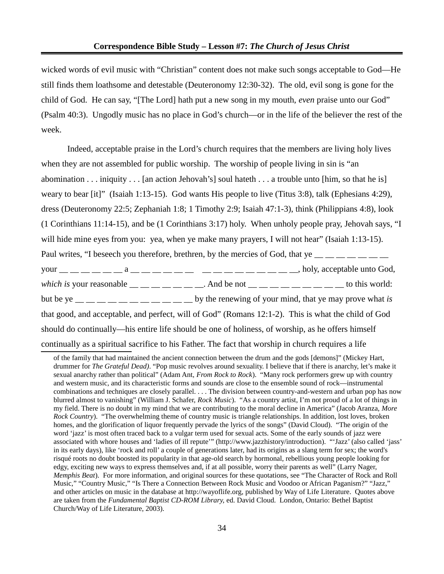wicked words of evil music with "Christian" content does not make such songs acceptable to God—He still finds them loathsome and detestable (Deuteronomy 12:30-32). The old, evil song is gone for the child of God. He can say, "[The Lord] hath put a new song in my mouth, *even* praise unto our God" (Psalm 40:3). Ungodly music has no place in God's church—or in the life of the believer the rest of the week.

Indeed, acceptable praise in the Lord's church requires that the members are living holy lives when they are not assembled for public worship. The worship of people living in sin is "an abomination . . . iniquity . . . [an action Jehovah's] soul hateth . . . a trouble unto [him, so that he is] weary to bear [it]" (Isaiah 1:13-15). God wants His people to live (Titus 3:8), talk (Ephesians 4:29), dress (Deuteronomy 22:5; Zephaniah 1:8; 1 Timothy 2:9; Isaiah 47:1-3), think (Philippians 4:8), look (1 Corinthians 11:14-15), and be (1 Corinthians 3:17) holy. When unholy people pray, Jehovah says, "I will hide mine eyes from you: yea, when ye make many prayers, I will not hear" (Isaiah 1:13-15). Paul writes, "I beseech you therefore, brethren, by the mercies of God, that ye  $\frac{m}{m}$   $\frac{m}{m}$   $\frac{m}{m}$   $\frac{m}{m}$ your  $\underline{\hspace{1cm}}$   $\underline{\hspace{1cm}}$   $\underline{\hspace{1cm}}$   $\underline{\hspace{1cm}}$   $\underline{\hspace{1cm}}$   $\underline{\hspace{1cm}}$   $\underline{\hspace{1cm}}$   $\underline{\hspace{1cm}}$   $\underline{\hspace{1cm}}$   $\underline{\hspace{1cm}}$   $\underline{\hspace{1cm}}$   $\underline{\hspace{1cm}}$   $\underline{\hspace{1cm}}$   $\underline{\hspace{1cm}}$   $\underline{\hspace{1cm}}$   $\underline{\hspace{1cm}}$   $\underline{\hspace{$ *which is* your reasonable  $\_\_\_\_\_\_\_\_\_\_\_\_$ . And be not  $\_\_\_\_\_\_\_\_\_\_\_\_\_\_\_\_\_$  to this world: but be ye  $\frac{1}{1}$   $\frac{1}{1}$   $\frac{1}{1}$   $\frac{1}{1}$   $\frac{1}{1}$   $\frac{1}{1}$   $\frac{1}{1}$   $\frac{1}{1}$   $\frac{1}{1}$  by the renewing of your mind, that ye may prove what *is* that good, and acceptable, and perfect, will of God" (Romans 12:1-2). This is what the child of God should do continually—his entire life should be one of holiness, of worship, as he offers himself continually as a spiritual sacrifice to his Father. The fact that worship in church requires a life

of the family that had maintained the ancient connection between the drum and the gods [demons]" (Mickey Hart, drummer for *The Grateful Dead)*. "Pop music revolves around sexuality. I believe that if there is anarchy, let's make it sexual anarchy rather than political" (Adam Ant, *From Rock to Rock*). "Many rock performers grew up with country and western music, and its characteristic forms and sounds are close to the ensemble sound of rock—instrumental combinations and techniques are closely parallel. . . . The division between country-and-western and urban pop has now blurred almost to vanishing" (William J. Schafer, *Rock Music*). "As a country artist, I'm not proud of a lot of things in my field. There is no doubt in my mind that we are contributing to the moral decline in America" (Jacob Aranza, *More Rock Country*). "The overwhelming theme of country music is triangle relationships. In addition, lost loves, broken homes, and the glorification of liquor frequently pervade the lyrics of the songs" (David Cloud). "The origin of the word 'jazz' is most often traced back to a vulgar term used for sexual acts. Some of the early sounds of jazz were associated with whore houses and 'ladies of ill repute'" (http://www.jazzhistory/introduction). "'Jazz' (also called 'jass' in its early days), like 'rock and roll' a couple of generations later, had its origins as a slang term for sex; the word's risqué roots no doubt boosted its popularity in that age-old search by hormonal, rebellious young people looking for edgy, exciting new ways to express themselves and, if at all possible, worry their parents as well" (Larry Nager, *Memphis Beat*). For more information, and original sources for these quotations, see "The Character of Rock and Roll Music," "Country Music," "Is There a Connection Between Rock Music and Voodoo or African Paganism?" "Jazz," and other articles on music in the database at http://wayoflife.org, published by Way of Life Literature. Quotes above are taken from the *Fundamental Baptist CD-ROM Library,* ed. David Cloud. London, Ontario: Bethel Baptist Church/Way of Life Literature, 2003).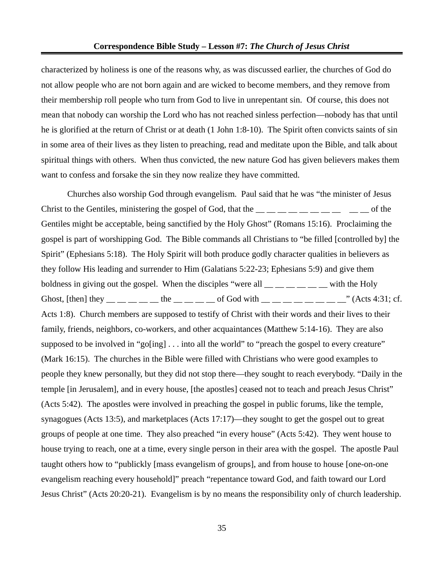characterized by holiness is one of the reasons why, as was discussed earlier, the churches of God do not allow people who are not born again and are wicked to become members, and they remove from their membership roll people who turn from God to live in unrepentant sin. Of course, this does not mean that nobody can worship the Lord who has not reached sinless perfection—nobody has that until he is glorified at the return of Christ or at death (1 John 1:8-10). The Spirit often convicts saints of sin in some area of their lives as they listen to preaching, read and meditate upon the Bible, and talk about spiritual things with others. When thus convicted, the new nature God has given believers makes them want to confess and forsake the sin they now realize they have committed.

Churches also worship God through evangelism. Paul said that he was "the minister of Jesus Christ to the Gentiles, ministering the gospel of God, that the  $\_\_\_\_ \_\_ \_\_ \_\_ \_ \_ \_ \_ \_ \_ \_ \_ \_$ Gentiles might be acceptable, being sanctified by the Holy Ghost" (Romans 15:16). Proclaiming the gospel is part of worshipping God. The Bible commands all Christians to "be filled [controlled by] the Spirit" (Ephesians 5:18). The Holy Spirit will both produce godly character qualities in believers as they follow His leading and surrender to Him (Galatians 5:22-23; Ephesians 5:9) and give them boldness in giving out the gospel. When the disciples "were all  $\frac{m}{m}$   $\frac{m}{m}$   $\frac{m}{m}$  with the Holy Ghost, [then] they \_\_ \_\_ \_\_ the \_\_ \_\_ \_\_ of God with \_\_ \_\_ \_\_ \_\_ \_\_ \_\_ " (Acts 4:31; cf. Acts 1:8). Church members are supposed to testify of Christ with their words and their lives to their family, friends, neighbors, co-workers, and other acquaintances (Matthew 5:14-16). They are also supposed to be involved in "go[ing] . . . into all the world" to "preach the gospel to every creature" (Mark 16:15). The churches in the Bible were filled with Christians who were good examples to people they knew personally, but they did not stop there—they sought to reach everybody. "Daily in the temple [in Jerusalem], and in every house, [the apostles] ceased not to teach and preach Jesus Christ" (Acts 5:42). The apostles were involved in preaching the gospel in public forums, like the temple, synagogues (Acts 13:5), and marketplaces (Acts 17:17)—they sought to get the gospel out to great groups of people at one time. They also preached "in every house" (Acts 5:42). They went house to house trying to reach, one at a time, every single person in their area with the gospel. The apostle Paul taught others how to "publickly [mass evangelism of groups], and from house to house [one-on-one evangelism reaching every household]" preach "repentance toward God, and faith toward our Lord Jesus Christ" (Acts 20:20-21). Evangelism is by no means the responsibility only of church leadership.

35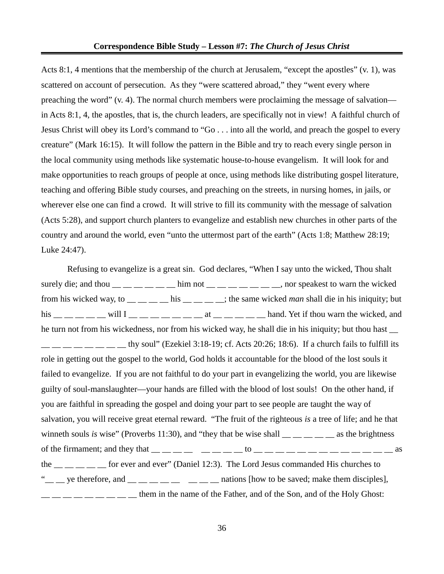Acts 8:1, 4 mentions that the membership of the church at Jerusalem, "except the apostles" (v. 1), was scattered on account of persecution. As they "were scattered abroad," they "went every where preaching the word" (v. 4). The normal church members were proclaiming the message of salvation in Acts 8:1, 4, the apostles, that is, the church leaders, are specifically not in view! A faithful church of Jesus Christ will obey its Lord's command to "Go . . . into all the world, and preach the gospel to every creature" (Mark 16:15). It will follow the pattern in the Bible and try to reach every single person in the local community using methods like systematic house-to-house evangelism. It will look for and make opportunities to reach groups of people at once, using methods like distributing gospel literature, teaching and offering Bible study courses, and preaching on the streets, in nursing homes, in jails, or wherever else one can find a crowd. It will strive to fill its community with the message of salvation (Acts 5:28), and support church planters to evangelize and establish new churches in other parts of the country and around the world, even "unto the uttermost part of the earth" (Acts 1:8; Matthew 28:19; Luke 24:47).

Refusing to evangelize is a great sin. God declares, "When I say unto the wicked, Thou shalt surely die; and thou  $\frac{m}{m}$   $\frac{m}{m}$   $\frac{m}{m}$  him not  $\frac{m}{m}$   $\frac{m}{m}$   $\frac{m}{m}$  and speakest to warn the wicked from his wicked way, to \_\_ \_\_ \_\_ \_\_ his \_\_ \_\_ \_\_ \_\_; the same wicked *man* shall die in his iniquity; but his  $\_\_\_\_\_\_\_\_\_\_$  will  $I \_\_\_\_\_\_\_\_\_\_$  at  $\_\_\_\_\_\_\_\_$  hand. Yet if thou warn the wicked, and he turn not from his wickedness, nor from his wicked way, he shall die in his iniquity; but thou hast  $\frac{1}{1}$  \_\_ \_\_ \_\_ \_\_ thy soul" (Ezekiel 3:18-19; cf. Acts 20:26; 18:6). If a church fails to fulfill its role in getting out the gospel to the world, God holds it accountable for the blood of the lost souls it failed to evangelize. If you are not faithful to do your part in evangelizing the world, you are likewise guilty of soul-manslaughter—your hands are filled with the blood of lost souls! On the other hand, if you are faithful in spreading the gospel and doing your part to see people are taught the way of salvation, you will receive great eternal reward. "The fruit of the righteous *is* a tree of life; and he that winneth souls *is* wise" (Proverbs 11:30), and "they that be wise shall  $\frac{m}{m}$   $\frac{m}{m}$   $\frac{m}{m}$  as the brightness of the firmament; and they that  $\frac{1}{\sqrt{2}}$   $\frac{1}{\sqrt{2}}$   $\frac{1}{\sqrt{2}}$   $\frac{1}{\sqrt{2}}$   $\frac{1}{\sqrt{2}}$   $\frac{1}{\sqrt{2}}$   $\frac{1}{\sqrt{2}}$   $\frac{1}{\sqrt{2}}$   $\frac{1}{\sqrt{2}}$   $\frac{1}{\sqrt{2}}$   $\frac{1}{\sqrt{2}}$   $\frac{1}{\sqrt{2}}$   $\frac{1}{\sqrt{2}}$   $\frac{1}{\sqrt{2}}$   $\frac{1}{\$ the for ever and ever" (Daniel 12:3). The Lord Jesus commanded His churches to " $\frac{1}{2}$  ye therefore, and  $\frac{1}{2}$   $\frac{1}{2}$   $\frac{1}{2}$   $\frac{1}{2}$   $\frac{1}{2}$  nations [how to be saved; make them disciples],  $\frac{1}{1}$   $\frac{1}{1}$   $\frac{1}{1}$   $\frac{1}{1}$   $\frac{1}{1}$   $\frac{1}{1}$   $\frac{1}{1}$  them in the name of the Father, and of the Son, and of the Holy Ghost: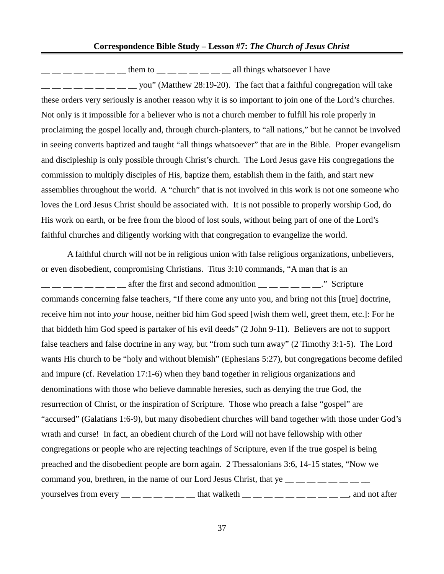#### **Correspondence Bible Study – Lesson #7:** *The Church of Jesus Christ*

 $\frac{1}{2}$   $\frac{1}{2}$   $\frac{1}{2}$   $\frac{1}{2}$   $\frac{1}{2}$   $\frac{1}{2}$  them to  $\frac{1}{2}$   $\frac{1}{2}$   $\frac{1}{2}$   $\frac{1}{2}$   $\frac{1}{2}$   $\frac{1}{2}$   $\frac{1}{2}$   $\frac{1}{2}$   $\frac{1}{2}$   $\frac{1}{2}$   $\frac{1}{2}$   $\frac{1}{2}$   $\frac{1}{2}$   $\frac{1}{2}$   $\frac{1}{2}$   $\frac$  $z_1 = 2 - 2 - 2 - 3 = 2$  you" (Matthew 28:19-20). The fact that a faithful congregation will take these orders very seriously is another reason why it is so important to join one of the Lord's churches. Not only is it impossible for a believer who is not a church member to fulfill his role properly in proclaiming the gospel locally and, through church-planters, to "all nations," but he cannot be involved in seeing converts baptized and taught "all things whatsoever" that are in the Bible. Proper evangelism and discipleship is only possible through Christ's church. The Lord Jesus gave His congregations the commission to multiply disciples of His, baptize them, establish them in the faith, and start new assemblies throughout the world. A "church" that is not involved in this work is not one someone who loves the Lord Jesus Christ should be associated with. It is not possible to properly worship God, do His work on earth, or be free from the blood of lost souls, without being part of one of the Lord's faithful churches and diligently working with that congregation to evangelize the world.

A faithful church will not be in religious union with false religious organizations, unbelievers, or even disobedient, compromising Christians. Titus 3:10 commands, "A man that is an  $\frac{1}{2}$   $\frac{1}{2}$   $\frac{1}{2}$   $\frac{1}{2}$  after the first and second admonition  $\frac{1}{2}$   $\frac{1}{2}$   $\frac{1}{2}$   $\frac{1}{2}$   $\frac{1}{2}$   $\frac{1}{2}$   $\frac{1}{2}$   $\frac{1}{2}$   $\frac{1}{2}$   $\frac{1}{2}$   $\frac{1}{2}$   $\frac{1}{2}$   $\frac{1}{2}$   $\frac{1}{2}$   $\frac$ commands concerning false teachers, "If there come any unto you, and bring not this [true] doctrine, receive him not into *your* house, neither bid him God speed [wish them well, greet them, etc.]: For he that biddeth him God speed is partaker of his evil deeds" (2 John 9-11). Believers are not to support false teachers and false doctrine in any way, but "from such turn away" (2 Timothy 3:1-5). The Lord wants His church to be "holy and without blemish" (Ephesians 5:27), but congregations become defiled and impure (cf. Revelation 17:1-6) when they band together in religious organizations and denominations with those who believe damnable heresies, such as denying the true God, the resurrection of Christ, or the inspiration of Scripture. Those who preach a false "gospel" are "accursed" (Galatians 1:6-9), but many disobedient churches will band together with those under God's wrath and curse! In fact, an obedient church of the Lord will not have fellowship with other congregations or people who are rejecting teachings of Scripture, even if the true gospel is being preached and the disobedient people are born again. 2 Thessalonians 3:6, 14-15 states, "Now we command you, brethren, in the name of our Lord Jesus Christ, that ye  $\frac{1}{1}$   $\frac{1}{1}$   $\frac{1}{1}$   $\frac{1}{1}$   $\frac{1}{1}$   $\frac{1}{1}$   $\frac{1}{1}$   $\frac{1}{1}$   $\frac{1}{1}$   $\frac{1}{1}$   $\frac{1}{1}$   $\frac{1}{1}$   $\frac{1}{1}$   $\frac{1}{1}$   $\frac{1}{1}$   $\$ yourselves from every  $\_\_\_\_\_\_\_\_\_\_$  that walketh  $\_\_\_\_\_\_\_\_\_\_$   $\_\_\_\_\_\_$  and not after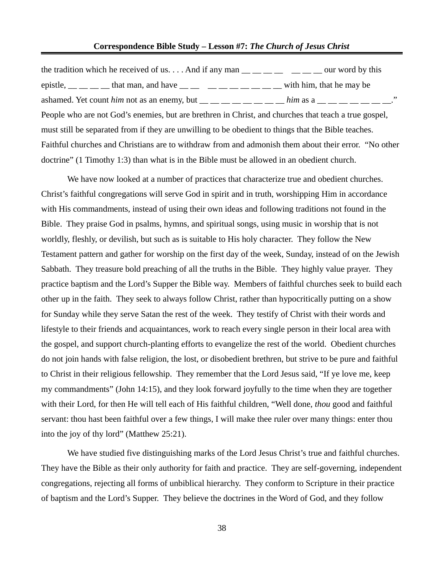#### **Correspondence Bible Study – Lesson #7:** *The Church of Jesus Christ*

| the tradition which he received of us And if any man $\_\_\_\_\_\_\_$ $\_\_\_\_\_\_$ our word by this         |  |
|---------------------------------------------------------------------------------------------------------------|--|
| epistle, $\_\_\_\_\_\_\_\$ that man, and have $\_\_\_\_\_\_\_\_\_\_\_\_\_\_\_\_\_\_$ with him, that he may be |  |
| ashamed. Yet count him not as an enemy, but $\_\_\_\_\_\_\_\_\_\_\_\_\_$ him as a $\_\_\_\_\_\_\_\_\_\_\_\_$  |  |
| People who are not God's enemies, but are brethren in Christ, and churches that teach a true gospel,          |  |
| must still be separated from if they are unwilling to be obedient to things that the Bible teaches.           |  |
| Faithful churches and Christians are to withdraw from and admonish them about their error. "No other          |  |
| doctrine" (1 Timothy 1:3) than what is in the Bible must be allowed in an obedient church.                    |  |

We have now looked at a number of practices that characterize true and obedient churches. Christ's faithful congregations will serve God in spirit and in truth, worshipping Him in accordance with His commandments, instead of using their own ideas and following traditions not found in the Bible. They praise God in psalms, hymns, and spiritual songs, using music in worship that is not worldly, fleshly, or devilish, but such as is suitable to His holy character. They follow the New Testament pattern and gather for worship on the first day of the week, Sunday, instead of on the Jewish Sabbath. They treasure bold preaching of all the truths in the Bible. They highly value prayer. They practice baptism and the Lord's Supper the Bible way. Members of faithful churches seek to build each other up in the faith. They seek to always follow Christ, rather than hypocritically putting on a show for Sunday while they serve Satan the rest of the week. They testify of Christ with their words and lifestyle to their friends and acquaintances, work to reach every single person in their local area with the gospel, and support church-planting efforts to evangelize the rest of the world. Obedient churches do not join hands with false religion, the lost, or disobedient brethren, but strive to be pure and faithful to Christ in their religious fellowship. They remember that the Lord Jesus said, "If ye love me, keep my commandments" (John 14:15), and they look forward joyfully to the time when they are together with their Lord, for then He will tell each of His faithful children, "Well done, *thou* good and faithful servant: thou hast been faithful over a few things, I will make thee ruler over many things: enter thou into the joy of thy lord" (Matthew 25:21).

We have studied five distinguishing marks of the Lord Jesus Christ's true and faithful churches. They have the Bible as their only authority for faith and practice. They are self-governing, independent congregations, rejecting all forms of unbiblical hierarchy. They conform to Scripture in their practice of baptism and the Lord's Supper. They believe the doctrines in the Word of God, and they follow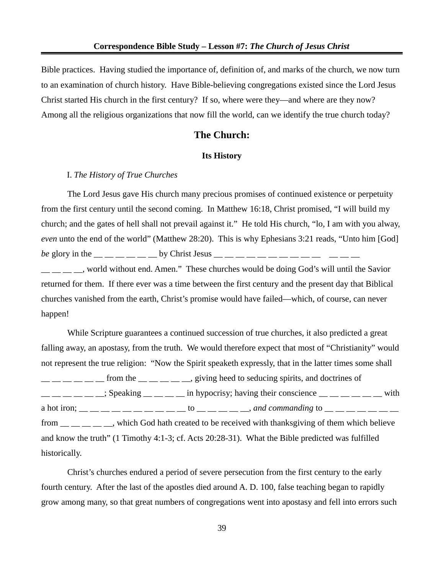Bible practices. Having studied the importance of, definition of, and marks of the church, we now turn to an examination of church history. Have Bible-believing congregations existed since the Lord Jesus Christ started His church in the first century? If so, where were they—and where are they now? Among all the religious organizations that now fill the world, can we identify the true church today?

## **The Church:**

#### **Its History**

### I. *The History of True Churches*

The Lord Jesus gave His church many precious promises of continued existence or perpetuity from the first century until the second coming. In Matthew 16:18, Christ promised, "I will build my church; and the gates of hell shall not prevail against it." He told His church, "lo, I am with you alway, *even* unto the end of the world" (Matthew 28:20). This is why Ephesians 3:21 reads, "Unto him [God] *be* glory in the \_\_ \_ \_ \_ \_ \_ by Christ Jesus \_\_ \_ \_ \_ \_ \_ \_ \_ \_ \_ \_ \_ \_ \_ \_ , world without end. Amen." These churches would be doing God's will until the Savior returned for them. If there ever was a time between the first century and the present day that Biblical churches vanished from the earth, Christ's promise would have failed—which, of course, can never

happen! While Scripture guarantees a continued succession of true churches, it also predicted a great falling away, an apostasy, from the truth. We would therefore expect that most of "Christianity" would not represent the true religion: "Now the Spirit speaketh expressly, that in the latter times some shall  $\frac{1}{1}$   $\frac{1}{1}$   $\frac{1}{1}$   $\frac{1}{1}$  from the  $\frac{1}{1}$   $\frac{1}{1}$   $\frac{1}{1}$   $\frac{1}{1}$   $\frac{1}{2}$   $\frac{1}{1}$   $\frac{1}{2}$   $\frac{1}{2}$   $\frac{1}{2}$   $\frac{1}{2}$   $\frac{1}{2}$   $\frac{1}{2}$   $\frac{1}{2}$   $\frac{1}{2}$   $\frac{1}{2}$   $\frac{1}{2}$   $\frac{1}{2}$   $\$  $\frac{1}{1}$   $\frac{1}{1}$   $\frac{1}{1}$   $\frac{1}{1}$   $\frac{1}{1}$   $\frac{1}{1}$   $\frac{1}{1}$   $\frac{1}{1}$   $\frac{1}{1}$   $\frac{1}{1}$   $\frac{1}{1}$   $\frac{1}{1}$   $\frac{1}{1}$   $\frac{1}{1}$   $\frac{1}{1}$   $\frac{1}{1}$   $\frac{1}{1}$   $\frac{1}{1}$   $\frac{1}{1}$   $\frac{1}{1}$   $\frac{1}{1}$   $\frac{1}{1}$  a hot iron; \_\_ \_\_ \_\_ \_\_ \_\_ \_\_ \_\_ \_\_ \_\_ \_\_ to \_\_ \_\_ \_\_ \_\_ \_\_, *and commanding* to \_\_ \_\_ \_\_ \_\_ \_\_ \_\_ \_\_ from  $\frac{1}{1}$  \_ \_ \_ \_ \_ , which God hath created to be received with thanksgiving of them which believe and know the truth" (1 Timothy 4:1-3; cf. Acts 20:28-31). What the Bible predicted was fulfilled historically.

Christ's churches endured a period of severe persecution from the first century to the early fourth century. After the last of the apostles died around A. D. 100, false teaching began to rapidly grow among many, so that great numbers of congregations went into apostasy and fell into errors such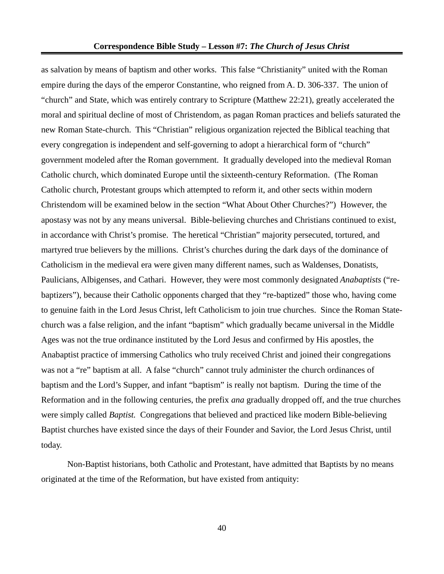as salvation by means of baptism and other works. This false "Christianity" united with the Roman empire during the days of the emperor Constantine, who reigned from A. D. 306-337. The union of "church" and State, which was entirely contrary to Scripture (Matthew 22:21), greatly accelerated the moral and spiritual decline of most of Christendom, as pagan Roman practices and beliefs saturated the new Roman State-church. This "Christian" religious organization rejected the Biblical teaching that every congregation is independent and self-governing to adopt a hierarchical form of "church" government modeled after the Roman government. It gradually developed into the medieval Roman Catholic church, which dominated Europe until the sixteenth-century Reformation. (The Roman Catholic church, Protestant groups which attempted to reform it, and other sects within modern Christendom will be examined below in the section "What About Other Churches?") However, the apostasy was not by any means universal. Bible-believing churches and Christians continued to exist, in accordance with Christ's promise. The heretical "Christian" majority persecuted, tortured, and martyred true believers by the millions. Christ's churches during the dark days of the dominance of Catholicism in the medieval era were given many different names, such as Waldenses, Donatists, Paulicians, Albigenses, and Cathari. However, they were most commonly designated *Anabaptists* ("rebaptizers"), because their Catholic opponents charged that they "re-baptized" those who, having come to genuine faith in the Lord Jesus Christ, left Catholicism to join true churches. Since the Roman Statechurch was a false religion, and the infant "baptism" which gradually became universal in the Middle Ages was not the true ordinance instituted by the Lord Jesus and confirmed by His apostles, the Anabaptist practice of immersing Catholics who truly received Christ and joined their congregations was not a "re" baptism at all. A false "church" cannot truly administer the church ordinances of baptism and the Lord's Supper, and infant "baptism" is really not baptism. During the time of the Reformation and in the following centuries, the prefix *ana* gradually dropped off, and the true churches were simply called *Baptist.* Congregations that believed and practiced like modern Bible-believing Baptist churches have existed since the days of their Founder and Savior, the Lord Jesus Christ, until today.

Non-Baptist historians, both Catholic and Protestant, have admitted that Baptists by no means originated at the time of the Reformation, but have existed from antiquity: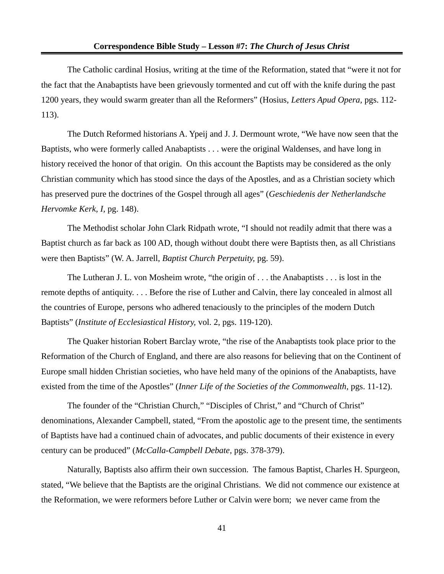The Catholic cardinal Hosius, writing at the time of the Reformation, stated that "were it not for the fact that the Anabaptists have been grievously tormented and cut off with the knife during the past 1200 years, they would swarm greater than all the Reformers" (Hosius, *Letters Apud Opera,* pgs. 112- 113).

The Dutch Reformed historians A. Ypeij and J. J. Dermount wrote, "We have now seen that the Baptists, who were formerly called Anabaptists . . . were the original Waldenses, and have long in history received the honor of that origin. On this account the Baptists may be considered as the only Christian community which has stood since the days of the Apostles, and as a Christian society which has preserved pure the doctrines of the Gospel through all ages" (*Geschiedenis der Netherlandsche Hervomke Kerk, I,* pg. 148).

The Methodist scholar John Clark Ridpath wrote, "I should not readily admit that there was a Baptist church as far back as 100 AD, though without doubt there were Baptists then, as all Christians were then Baptists" (W. A. Jarrell, *Baptist Church Perpetuity,* pg. 59).

The Lutheran J. L. von Mosheim wrote, "the origin of . . . the Anabaptists . . . is lost in the remote depths of antiquity. . . . Before the rise of Luther and Calvin, there lay concealed in almost all the countries of Europe, persons who adhered tenaciously to the principles of the modern Dutch Baptists" (*Institute of Ecclesiastical History,* vol. 2, pgs. 119-120).

The Quaker historian Robert Barclay wrote, "the rise of the Anabaptists took place prior to the Reformation of the Church of England, and there are also reasons for believing that on the Continent of Europe small hidden Christian societies, who have held many of the opinions of the Anabaptists, have existed from the time of the Apostles" (*Inner Life of the Societies of the Commonwealth,* pgs. 11-12).

The founder of the "Christian Church," "Disciples of Christ," and "Church of Christ" denominations, Alexander Campbell, stated, "From the apostolic age to the present time, the sentiments of Baptists have had a continued chain of advocates, and public documents of their existence in every century can be produced" (*McCalla-Campbell Debate,* pgs. 378-379).

Naturally, Baptists also affirm their own succession. The famous Baptist, Charles H. Spurgeon, stated, "We believe that the Baptists are the original Christians. We did not commence our existence at the Reformation, we were reformers before Luther or Calvin were born; we never came from the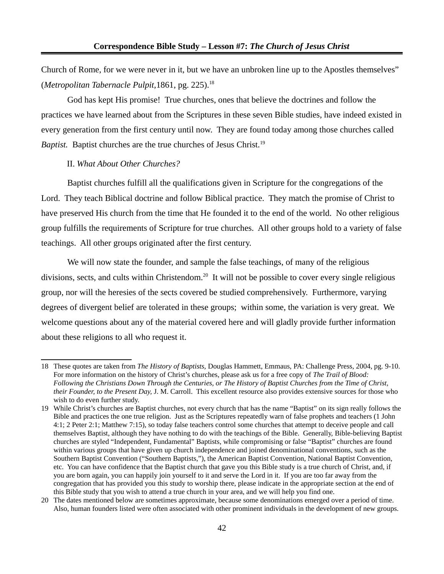Church of Rome, for we were never in it, but we have an unbroken line up to the Apostles themselves" (*Metropolitan Tabernacle Pulpit,*1861, pg. 225).[18](#page-41-0)

God has kept His promise! True churches, ones that believe the doctrines and follow the practices we have learned about from the Scriptures in these seven Bible studies, have indeed existed in every generation from the first century until now. They are found today among those churches called *Baptist.* Baptist churches are the true churches of Jesus Christ.<sup>[19](#page-41-1)</sup>

#### II. *What About Other Churches?*

Baptist churches fulfill all the qualifications given in Scripture for the congregations of the Lord. They teach Biblical doctrine and follow Biblical practice. They match the promise of Christ to have preserved His church from the time that He founded it to the end of the world. No other religious group fulfills the requirements of Scripture for true churches. All other groups hold to a variety of false teachings. All other groups originated after the first century.

We will now state the founder, and sample the false teachings, of many of the religious divisions, sects, and cults within Christendom.<sup>[20](#page-41-2)</sup> It will not be possible to cover every single religious group, nor will the heresies of the sects covered be studied comprehensively. Furthermore, varying degrees of divergent belief are tolerated in these groups; within some, the variation is very great. We welcome questions about any of the material covered here and will gladly provide further information about these religions to all who request it.

<span id="page-41-0"></span><sup>18</sup> These quotes are taken from *The History of Baptists,* Douglas Hammett, Emmaus, PA: Challenge Press, 2004, pg. 9-10. For more information on the history of Christ's churches, please ask us for a free copy of *The Trail of Blood: Following the Christians Down Through the Centuries, or The History of Baptist Churches from the Time of Christ, their Founder, to the Present Day,* J. M. Carroll. This excellent resource also provides extensive sources for those who wish to do even further study.

<span id="page-41-1"></span><sup>19</sup> While Christ's churches are Baptist churches, not every church that has the name "Baptist" on its sign really follows the Bible and practices the one true religion. Just as the Scriptures repeatedly warn of false prophets and teachers (1 John 4:1; 2 Peter 2:1; Matthew 7:15), so today false teachers control some churches that attempt to deceive people and call themselves Baptist, although they have nothing to do with the teachings of the Bible. Generally, Bible-believing Baptist churches are styled "Independent, Fundamental" Baptists, while compromising or false "Baptist" churches are found within various groups that have given up church independence and joined denominational conventions, such as the Southern Baptist Convention ("Southern Baptists,"), the American Baptist Convention, National Baptist Convention, etc. You can have confidence that the Baptist church that gave you this Bible study is a true church of Christ, and, if you are born again, you can happily join yourself to it and serve the Lord in it. If you are too far away from the congregation that has provided you this study to worship there, please indicate in the appropriate section at the end of this Bible study that you wish to attend a true church in your area, and we will help you find one.

<span id="page-41-2"></span><sup>20</sup> The dates mentioned below are sometimes approximate, because some denominations emerged over a period of time. Also, human founders listed were often associated with other prominent individuals in the development of new groups.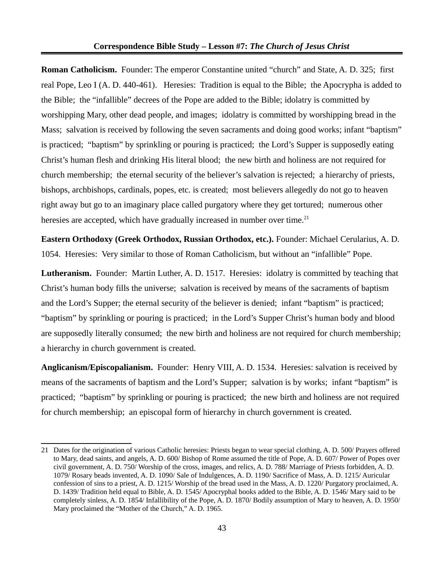**Roman Catholicism.** Founder: The emperor Constantine united "church" and State, A. D. 325; first real Pope, Leo I (A. D. 440-461). Heresies: Tradition is equal to the Bible; the Apocrypha is added to the Bible; the "infallible" decrees of the Pope are added to the Bible; idolatry is committed by worshipping Mary, other dead people, and images; idolatry is committed by worshipping bread in the Mass; salvation is received by following the seven sacraments and doing good works; infant "baptism" is practiced; "baptism" by sprinkling or pouring is practiced; the Lord's Supper is supposedly eating Christ's human flesh and drinking His literal blood; the new birth and holiness are not required for church membership; the eternal security of the believer's salvation is rejected; a hierarchy of priests, bishops, archbishops, cardinals, popes, etc. is created; most believers allegedly do not go to heaven right away but go to an imaginary place called purgatory where they get tortured; numerous other heresies are accepted, which have gradually increased in number over time. $^{21}$  $^{21}$  $^{21}$ 

**Eastern Orthodoxy (Greek Orthodox, Russian Orthodox, etc.).** Founder: Michael Cerularius, A. D. 1054. Heresies: Very similar to those of Roman Catholicism, but without an "infallible" Pope.

**Lutheranism.** Founder: Martin Luther, A. D. 1517. Heresies: idolatry is committed by teaching that Christ's human body fills the universe; salvation is received by means of the sacraments of baptism and the Lord's Supper; the eternal security of the believer is denied; infant "baptism" is practiced; "baptism" by sprinkling or pouring is practiced; in the Lord's Supper Christ's human body and blood are supposedly literally consumed; the new birth and holiness are not required for church membership; a hierarchy in church government is created.

**Anglicanism/Episcopalianism.** Founder: Henry VIII, A. D. 1534. Heresies: salvation is received by means of the sacraments of baptism and the Lord's Supper; salvation is by works; infant "baptism" is practiced; "baptism" by sprinkling or pouring is practiced; the new birth and holiness are not required for church membership; an episcopal form of hierarchy in church government is created.

<span id="page-42-0"></span><sup>21</sup> Dates for the origination of various Catholic heresies: Priests began to wear special clothing, A. D. 500/ Prayers offered to Mary, dead saints, and angels, A. D. 600/ Bishop of Rome assumed the title of Pope, A. D. 607/ Power of Popes over civil government, A. D. 750/ Worship of the cross, images, and relics, A. D. 788/ Marriage of Priests forbidden, A. D. 1079/ Rosary beads invented, A. D. 1090/ Sale of Indulgences, A. D. 1190/ Sacrifice of Mass, A. D. 1215/ Auricular confession of sins to a priest, A. D. 1215/ Worship of the bread used in the Mass, A. D. 1220/ Purgatory proclaimed, A. D. 1439/ Tradition held equal to Bible, A. D. 1545/ Apocryphal books added to the Bible, A. D. 1546/ Mary said to be completely sinless, A. D. 1854/ Infallibility of the Pope, A. D. 1870/ Bodily assumption of Mary to heaven, A. D. 1950/ Mary proclaimed the "Mother of the Church," A. D. 1965.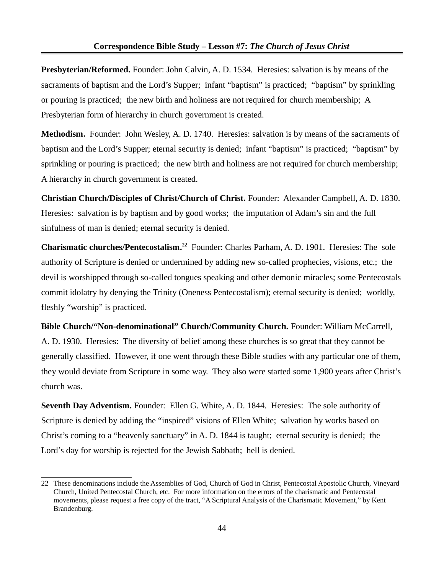**Presbyterian/Reformed.** Founder: John Calvin, A. D. 1534. Heresies: salvation is by means of the sacraments of baptism and the Lord's Supper; infant "baptism" is practiced; "baptism" by sprinkling or pouring is practiced; the new birth and holiness are not required for church membership; A Presbyterian form of hierarchy in church government is created.

**Methodism.** Founder: John Wesley, A. D. 1740. Heresies: salvation is by means of the sacraments of baptism and the Lord's Supper; eternal security is denied; infant "baptism" is practiced; "baptism" by sprinkling or pouring is practiced; the new birth and holiness are not required for church membership; A hierarchy in church government is created.

**Christian Church/Disciples of Christ/Church of Christ.** Founder: Alexander Campbell, A. D. 1830. Heresies: salvation is by baptism and by good works; the imputation of Adam's sin and the full sinfulness of man is denied; eternal security is denied.

**Charismatic churches/Pentecostalism.[22](#page-43-0)** Founder: Charles Parham, A. D. 1901. Heresies: The sole authority of Scripture is denied or undermined by adding new so-called prophecies, visions, etc.; the devil is worshipped through so-called tongues speaking and other demonic miracles; some Pentecostals commit idolatry by denying the Trinity (Oneness Pentecostalism); eternal security is denied; worldly, fleshly "worship" is practiced.

**Bible Church/"Non-denominational" Church/Community Church.** Founder: William McCarrell, A. D. 1930. Heresies: The diversity of belief among these churches is so great that they cannot be generally classified. However, if one went through these Bible studies with any particular one of them, they would deviate from Scripture in some way. They also were started some 1,900 years after Christ's church was.

**Seventh Day Adventism.** Founder: Ellen G. White, A. D. 1844. Heresies: The sole authority of Scripture is denied by adding the "inspired" visions of Ellen White; salvation by works based on Christ's coming to a "heavenly sanctuary" in A. D. 1844 is taught; eternal security is denied; the Lord's day for worship is rejected for the Jewish Sabbath; hell is denied.

<span id="page-43-0"></span><sup>22</sup> These denominations include the Assemblies of God, Church of God in Christ, Pentecostal Apostolic Church, Vineyard Church, United Pentecostal Church, etc. For more information on the errors of the charismatic and Pentecostal movements, please request a free copy of the tract, "A Scriptural Analysis of the Charismatic Movement," by Kent Brandenburg.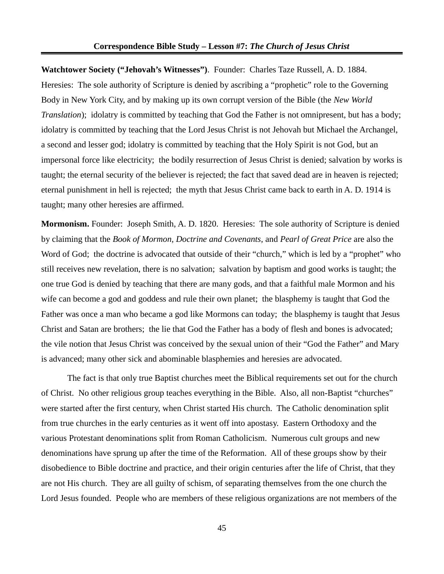**Watchtower Society ("Jehovah's Witnesses")**. Founder: Charles Taze Russell, A. D. 1884. Heresies: The sole authority of Scripture is denied by ascribing a "prophetic" role to the Governing Body in New York City, and by making up its own corrupt version of the Bible (the *New World Translation*); idolatry is committed by teaching that God the Father is not omnipresent, but has a body; idolatry is committed by teaching that the Lord Jesus Christ is not Jehovah but Michael the Archangel, a second and lesser god; idolatry is committed by teaching that the Holy Spirit is not God, but an impersonal force like electricity; the bodily resurrection of Jesus Christ is denied; salvation by works is taught; the eternal security of the believer is rejected; the fact that saved dead are in heaven is rejected; eternal punishment in hell is rejected; the myth that Jesus Christ came back to earth in A. D. 1914 is taught; many other heresies are affirmed.

**Mormonism.** Founder: Joseph Smith, A. D. 1820. Heresies: The sole authority of Scripture is denied by claiming that the *Book of Mormon, Doctrine and Covenants,* and *Pearl of Great Price* are also the Word of God; the doctrine is advocated that outside of their "church," which is led by a "prophet" who still receives new revelation, there is no salvation; salvation by baptism and good works is taught; the one true God is denied by teaching that there are many gods, and that a faithful male Mormon and his wife can become a god and goddess and rule their own planet; the blasphemy is taught that God the Father was once a man who became a god like Mormons can today; the blasphemy is taught that Jesus Christ and Satan are brothers; the lie that God the Father has a body of flesh and bones is advocated; the vile notion that Jesus Christ was conceived by the sexual union of their "God the Father" and Mary is advanced; many other sick and abominable blasphemies and heresies are advocated.

The fact is that only true Baptist churches meet the Biblical requirements set out for the church of Christ. No other religious group teaches everything in the Bible. Also, all non-Baptist "churches" were started after the first century, when Christ started His church. The Catholic denomination split from true churches in the early centuries as it went off into apostasy. Eastern Orthodoxy and the various Protestant denominations split from Roman Catholicism. Numerous cult groups and new denominations have sprung up after the time of the Reformation. All of these groups show by their disobedience to Bible doctrine and practice, and their origin centuries after the life of Christ, that they are not His church. They are all guilty of schism, of separating themselves from the one church the Lord Jesus founded. People who are members of these religious organizations are not members of the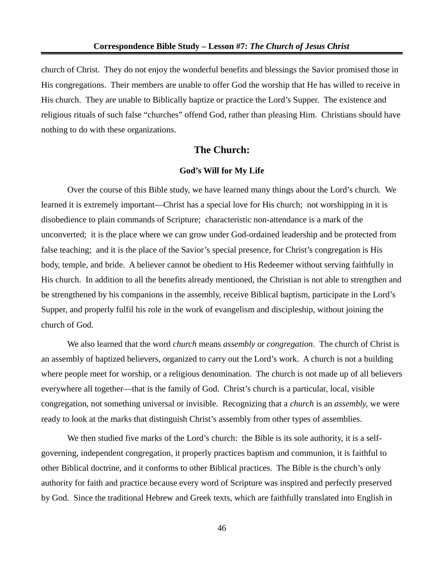church of Christ. They do not enjoy the wonderful benefits and blessings the Savior promised those in His congregations. Their members are unable to offer God the worship that He has willed to receive in His church. They are unable to Biblically baptize or practice the Lord's Supper. The existence and religious rituals of such false "churches" offend God, rather than pleasing Him. Christians should have nothing to do with these organizations.

# **The Church:**

#### **God's Will for My Life**

Over the course of this Bible study, we have learned many things about the Lord's church. We learned it is extremely important—Christ has a special love for His church; not worshipping in it is disobedience to plain commands of Scripture; characteristic non-attendance is a mark of the unconverted; it is the place where we can grow under God-ordained leadership and be protected from false teaching; and it is the place of the Savior's special presence, for Christ's congregation is His body, temple, and bride. A believer cannot be obedient to His Redeemer without serving faithfully in His church. In addition to all the benefits already mentioned, the Christian is not able to strengthen and be strengthened by his companions in the assembly, receive Biblical baptism, participate in the Lord's Supper, and properly fulfil his role in the work of evangelism and discipleship, without joining the church of God.

We also learned that the word *church* means *assembly* or *congregation.* The church of Christ is an assembly of baptized believers, organized to carry out the Lord's work. A church is not a building where people meet for worship, or a religious denomination. The church is not made up of all believers everywhere all together—that is the family of God. Christ's church is a particular, local, visible congregation, not something universal or invisible. Recognizing that a *church* is an *assembly,* we were ready to look at the marks that distinguish Christ's assembly from other types of assemblies.

We then studied five marks of the Lord's church: the Bible is its sole authority, it is a selfgoverning, independent congregation, it properly practices baptism and communion, it is faithful to other Biblical doctrine, and it conforms to other Biblical practices. The Bible is the church's only authority for faith and practice because every word of Scripture was inspired and perfectly preserved by God. Since the traditional Hebrew and Greek texts, which are faithfully translated into English in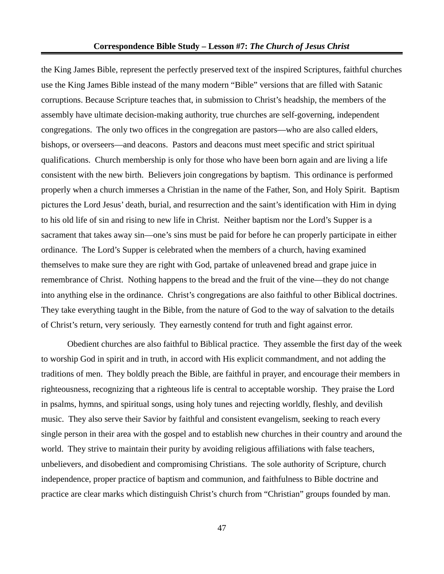the King James Bible, represent the perfectly preserved text of the inspired Scriptures, faithful churches use the King James Bible instead of the many modern "Bible" versions that are filled with Satanic corruptions. Because Scripture teaches that, in submission to Christ's headship, the members of the assembly have ultimate decision-making authority, true churches are self-governing, independent congregations. The only two offices in the congregation are pastors—who are also called elders, bishops, or overseers—and deacons. Pastors and deacons must meet specific and strict spiritual qualifications. Church membership is only for those who have been born again and are living a life consistent with the new birth. Believers join congregations by baptism. This ordinance is performed properly when a church immerses a Christian in the name of the Father, Son, and Holy Spirit. Baptism pictures the Lord Jesus' death, burial, and resurrection and the saint's identification with Him in dying to his old life of sin and rising to new life in Christ. Neither baptism nor the Lord's Supper is a sacrament that takes away sin—one's sins must be paid for before he can properly participate in either ordinance. The Lord's Supper is celebrated when the members of a church, having examined themselves to make sure they are right with God, partake of unleavened bread and grape juice in remembrance of Christ. Nothing happens to the bread and the fruit of the vine—they do not change into anything else in the ordinance. Christ's congregations are also faithful to other Biblical doctrines. They take everything taught in the Bible, from the nature of God to the way of salvation to the details of Christ's return, very seriously. They earnestly contend for truth and fight against error.

Obedient churches are also faithful to Biblical practice. They assemble the first day of the week to worship God in spirit and in truth, in accord with His explicit commandment, and not adding the traditions of men. They boldly preach the Bible, are faithful in prayer, and encourage their members in righteousness, recognizing that a righteous life is central to acceptable worship. They praise the Lord in psalms, hymns, and spiritual songs, using holy tunes and rejecting worldly, fleshly, and devilish music. They also serve their Savior by faithful and consistent evangelism, seeking to reach every single person in their area with the gospel and to establish new churches in their country and around the world. They strive to maintain their purity by avoiding religious affiliations with false teachers, unbelievers, and disobedient and compromising Christians. The sole authority of Scripture, church independence, proper practice of baptism and communion, and faithfulness to Bible doctrine and practice are clear marks which distinguish Christ's church from "Christian" groups founded by man.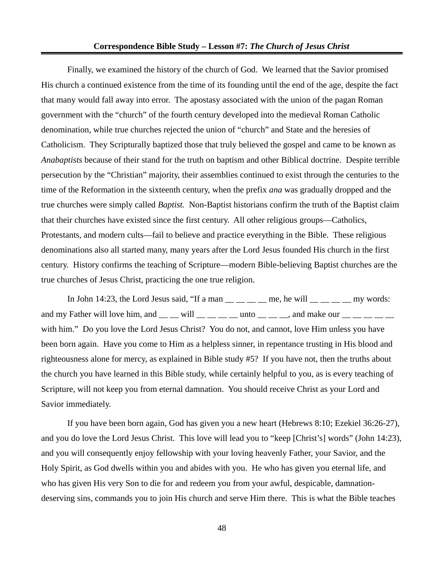Finally, we examined the history of the church of God. We learned that the Savior promised His church a continued existence from the time of its founding until the end of the age, despite the fact that many would fall away into error. The apostasy associated with the union of the pagan Roman government with the "church" of the fourth century developed into the medieval Roman Catholic denomination, while true churches rejected the union of "church" and State and the heresies of Catholicism. They Scripturally baptized those that truly believed the gospel and came to be known as *Anabaptists* because of their stand for the truth on baptism and other Biblical doctrine. Despite terrible persecution by the "Christian" majority, their assemblies continued to exist through the centuries to the time of the Reformation in the sixteenth century, when the prefix *ana* was gradually dropped and the true churches were simply called *Baptist.* Non-Baptist historians confirm the truth of the Baptist claim that their churches have existed since the first century. All other religious groups—Catholics, Protestants, and modern cults—fail to believe and practice everything in the Bible. These religious denominations also all started many, many years after the Lord Jesus founded His church in the first century. History confirms the teaching of Scripture—modern Bible-believing Baptist churches are the true churches of Jesus Christ, practicing the one true religion.

In John 14:23, the Lord Jesus said, "If a man  $\frac{1}{\sqrt{1-\frac{1}{n}}}$  me, he will  $\frac{1}{\sqrt{1-\frac{1}{n}}}$  my words: and my Father will love him, and  $\_\_$   $\_\text{will} \_\_\_\_\text{in}$  unto  $\_\_\_\text{in}$  and make our  $\_\_\_\text{in}$ with him." Do you love the Lord Jesus Christ? You do not, and cannot, love Him unless you have been born again. Have you come to Him as a helpless sinner, in repentance trusting in His blood and righteousness alone for mercy, as explained in Bible study #5? If you have not, then the truths about the church you have learned in this Bible study, while certainly helpful to you, as is every teaching of Scripture, will not keep you from eternal damnation. You should receive Christ as your Lord and Savior immediately.

If you have been born again, God has given you a new heart (Hebrews 8:10; Ezekiel 36:26-27), and you do love the Lord Jesus Christ. This love will lead you to "keep [Christ's] words" (John 14:23), and you will consequently enjoy fellowship with your loving heavenly Father, your Savior, and the Holy Spirit, as God dwells within you and abides with you. He who has given you eternal life, and who has given His very Son to die for and redeem you from your awful, despicable, damnationdeserving sins, commands you to join His church and serve Him there. This is what the Bible teaches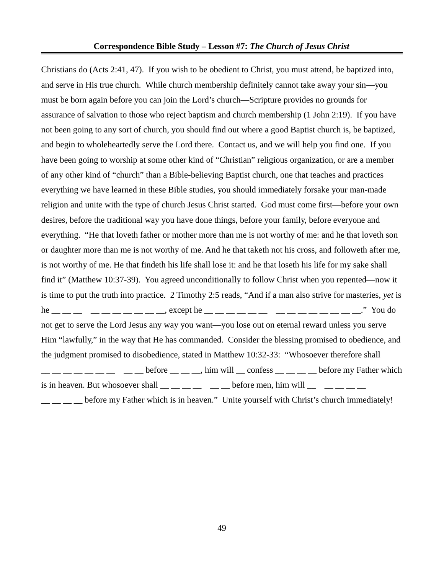Christians do (Acts 2:41, 47). If you wish to be obedient to Christ, you must attend, be baptized into, and serve in His true church. While church membership definitely cannot take away your sin—you must be born again before you can join the Lord's church—Scripture provides no grounds for assurance of salvation to those who reject baptism and church membership (1 John 2:19). If you have not been going to any sort of church, you should find out where a good Baptist church is, be baptized, and begin to wholeheartedly serve the Lord there. Contact us, and we will help you find one. If you have been going to worship at some other kind of "Christian" religious organization, or are a member of any other kind of "church" than a Bible-believing Baptist church, one that teaches and practices everything we have learned in these Bible studies, you should immediately forsake your man-made religion and unite with the type of church Jesus Christ started. God must come first—before your own desires, before the traditional way you have done things, before your family, before everyone and everything. "He that loveth father or mother more than me is not worthy of me: and he that loveth son or daughter more than me is not worthy of me. And he that taketh not his cross, and followeth after me, is not worthy of me. He that findeth his life shall lose it: and he that loseth his life for my sake shall find it" (Matthew 10:37-39). You agreed unconditionally to follow Christ when you repented—now it is time to put the truth into practice. 2 Timothy 2:5 reads, "And if a man also strive for masteries, *yet* is he \_\_ \_\_ \_\_ \_\_ \_\_ \_\_ \_\_ \_\_ .except he \_ \_ \_ \_ \_ \_ \_ \_ \_ \_\_ \_\_ \_\_ \_\_ \_\_ ..." You do not get to serve the Lord Jesus any way you want—you lose out on eternal reward unless you serve Him "lawfully," in the way that He has commanded. Consider the blessing promised to obedience, and the judgment promised to disobedience, stated in Matthew 10:32-33: "Whosoever therefore shall  $\texttt{---}\_\texttt{---}\_\texttt{---}$   $\_\texttt{---}$  before  $\_\texttt{---}$   $\_\texttt{---}$ , him will  $\_\texttt{---}$  confess  $\_\texttt{---}\_\texttt{---}$  before my Father which is in heaven. But whosoever shall  $\frac{m}{m}$   $\frac{m}{m}$   $\frac{m}{m}$  before men, him will  $\frac{m}{m}$   $\frac{m}{m}$ before my Father which is in heaven." Unite yourself with Christ's church immediately!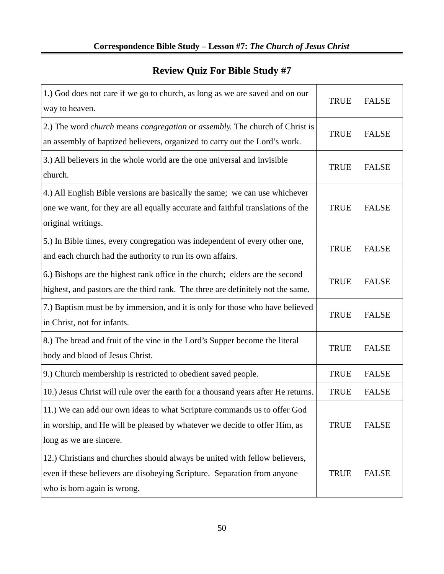# **Review Quiz For Bible Study #7**

| 1.) God does not care if we go to church, as long as we are saved and on our<br>way to heaven.                                                                                         | <b>TRUE</b> | <b>FALSE</b> |
|----------------------------------------------------------------------------------------------------------------------------------------------------------------------------------------|-------------|--------------|
| 2.) The word church means congregation or assembly. The church of Christ is<br>an assembly of baptized believers, organized to carry out the Lord's work.                              | <b>TRUE</b> | <b>FALSE</b> |
| 3.) All believers in the whole world are the one universal and invisible<br>church.                                                                                                    | <b>TRUE</b> | <b>FALSE</b> |
| 4.) All English Bible versions are basically the same; we can use whichever<br>one we want, for they are all equally accurate and faithful translations of the<br>original writings.   | <b>TRUE</b> | <b>FALSE</b> |
| 5.) In Bible times, every congregation was independent of every other one,<br>and each church had the authority to run its own affairs.                                                | <b>TRUE</b> | <b>FALSE</b> |
| 6.) Bishops are the highest rank office in the church; elders are the second<br>highest, and pastors are the third rank. The three are definitely not the same.                        | <b>TRUE</b> | <b>FALSE</b> |
| 7.) Baptism must be by immersion, and it is only for those who have believed<br>in Christ, not for infants.                                                                            | <b>TRUE</b> | <b>FALSE</b> |
| 8.) The bread and fruit of the vine in the Lord's Supper become the literal<br>body and blood of Jesus Christ.                                                                         | <b>TRUE</b> | <b>FALSE</b> |
| 9.) Church membership is restricted to obedient saved people.                                                                                                                          | <b>TRUE</b> | <b>FALSE</b> |
| 10.) Jesus Christ will rule over the earth for a thousand years after He returns.                                                                                                      | <b>TRUE</b> | <b>FALSE</b> |
| 11.) We can add our own ideas to what Scripture commands us to offer God<br>in worship, and He will be pleased by whatever we decide to offer Him, as<br>long as we are sincere.       | TRUE        | <b>FALSE</b> |
| 12.) Christians and churches should always be united with fellow believers,<br>even if these believers are disobeying Scripture. Separation from anyone<br>who is born again is wrong. | <b>TRUE</b> | <b>FALSE</b> |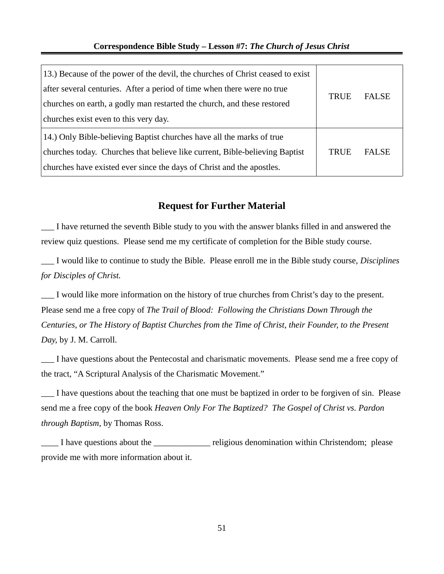| 13.) Because of the power of the devil, the churches of Christ ceased to exist |             |              |
|--------------------------------------------------------------------------------|-------------|--------------|
| after several centuries. After a period of time when there were no true        | <b>TRUE</b> | <b>FALSE</b> |
| churches on earth, a godly man restarted the church, and these restored        |             |              |
| churches exist even to this very day.                                          |             |              |
| [14.] Only Bible-believing Baptist churches have all the marks of true         |             |              |
| churches today. Churches that believe like current, Bible-believing Baptist    | <b>TRUE</b> | <b>FALSE</b> |
| churches have existed ever since the days of Christ and the apostles.          |             |              |

## **Request for Further Material**

\_\_\_ I have returned the seventh Bible study to you with the answer blanks filled in and answered the review quiz questions. Please send me my certificate of completion for the Bible study course.

\_\_\_ I would like to continue to study the Bible. Please enroll me in the Bible study course, *Disciplines for Disciples of Christ.*

\_\_\_ I would like more information on the history of true churches from Christ's day to the present. Please send me a free copy of *The Trail of Blood: Following the Christians Down Through the Centuries, or The History of Baptist Churches from the Time of Christ, their Founder, to the Present Day,* by J. M. Carroll.

\_\_\_ I have questions about the Pentecostal and charismatic movements. Please send me a free copy of the tract, "A Scriptural Analysis of the Charismatic Movement."

\_\_\_ I have questions about the teaching that one must be baptized in order to be forgiven of sin. Please send me a free copy of the book *Heaven Only For The Baptized? The Gospel of Christ vs. Pardon through Baptism,* by Thomas Ross.

\_\_\_\_ I have questions about the \_\_\_\_\_\_\_\_\_\_\_\_\_ religious denomination within Christendom; please provide me with more information about it.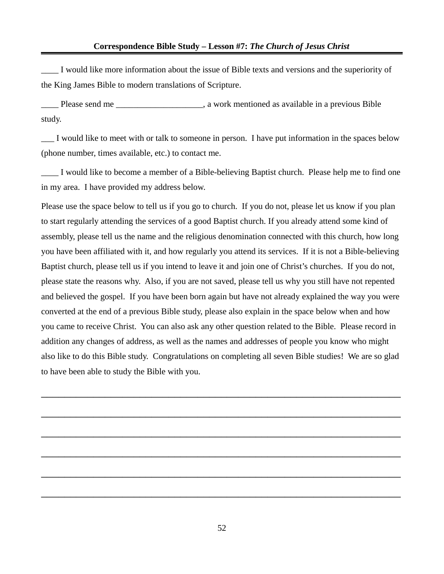\_\_\_\_ I would like more information about the issue of Bible texts and versions and the superiority of the King James Bible to modern translations of Scripture.

\_\_\_\_ Please send me \_\_\_\_\_\_\_\_\_\_\_\_\_\_\_\_\_\_\_\_, a work mentioned as available in a previous Bible study.

\_\_\_ I would like to meet with or talk to someone in person. I have put information in the spaces below (phone number, times available, etc.) to contact me.

I would like to become a member of a Bible-believing Baptist church. Please help me to find one in my area. I have provided my address below.

Please use the space below to tell us if you go to church. If you do not, please let us know if you plan to start regularly attending the services of a good Baptist church. If you already attend some kind of assembly, please tell us the name and the religious denomination connected with this church, how long you have been affiliated with it, and how regularly you attend its services. If it is not a Bible-believing Baptist church, please tell us if you intend to leave it and join one of Christ's churches. If you do not, please state the reasons why. Also, if you are not saved, please tell us why you still have not repented and believed the gospel. If you have been born again but have not already explained the way you were converted at the end of a previous Bible study, please also explain in the space below when and how you came to receive Christ. You can also ask any other question related to the Bible. Please record in addition any changes of address, as well as the names and addresses of people you know who might also like to do this Bible study. Congratulations on completing all seven Bible studies! We are so glad to have been able to study the Bible with you.

\_\_\_\_\_\_\_\_\_\_\_\_\_\_\_\_\_\_\_\_\_\_\_\_\_\_\_\_\_\_\_\_\_\_\_\_\_\_\_\_\_\_\_\_\_\_\_\_\_\_\_\_\_\_\_\_\_\_\_\_\_\_

\_\_\_\_\_\_\_\_\_\_\_\_\_\_\_\_\_\_\_\_\_\_\_\_\_\_\_\_\_\_\_\_\_\_\_\_\_\_\_\_\_\_\_\_\_\_\_\_\_\_\_\_\_\_\_\_\_\_\_\_\_\_

\_\_\_\_\_\_\_\_\_\_\_\_\_\_\_\_\_\_\_\_\_\_\_\_\_\_\_\_\_\_\_\_\_\_\_\_\_\_\_\_\_\_\_\_\_\_\_\_\_\_\_\_\_\_\_\_\_\_\_\_\_\_

\_\_\_\_\_\_\_\_\_\_\_\_\_\_\_\_\_\_\_\_\_\_\_\_\_\_\_\_\_\_\_\_\_\_\_\_\_\_\_\_\_\_\_\_\_\_\_\_\_\_\_\_\_\_\_\_\_\_\_\_\_\_

\_\_\_\_\_\_\_\_\_\_\_\_\_\_\_\_\_\_\_\_\_\_\_\_\_\_\_\_\_\_\_\_\_\_\_\_\_\_\_\_\_\_\_\_\_\_\_\_\_\_\_\_\_\_\_\_\_\_\_\_\_\_

\_\_\_\_\_\_\_\_\_\_\_\_\_\_\_\_\_\_\_\_\_\_\_\_\_\_\_\_\_\_\_\_\_\_\_\_\_\_\_\_\_\_\_\_\_\_\_\_\_\_\_\_\_\_\_\_\_\_\_\_\_\_